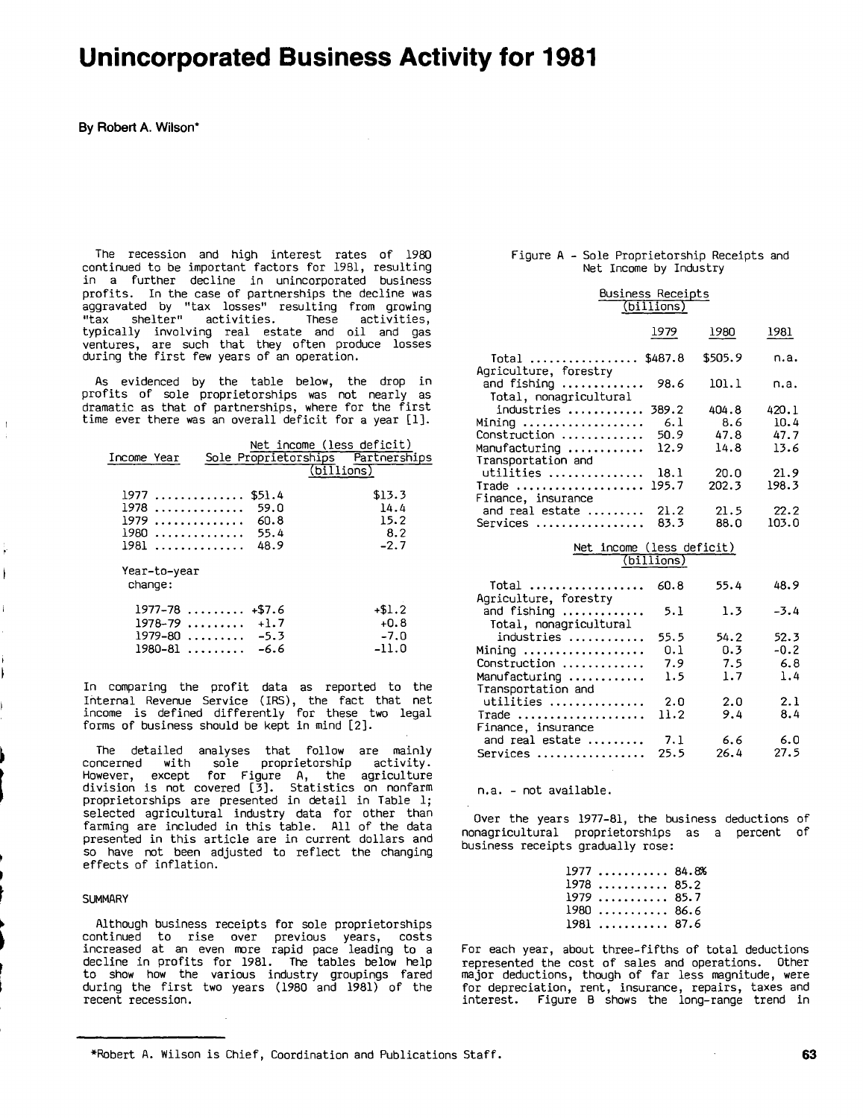# Unincorporated Business Activity for **1981**

**By** Robert **A.** Wilson\*

The recession and high interest rates of **1980** continued to be important factors for **1981,** resulting in a further decline in unincorporated business profits. In the case of partnerships the decline was aggravated **by** "tax losses" resulting from growing "tax shelter" activities. These activities, typically involving real estate and oil and gas ventures, are such that they often produce losses during the first few years of an operation.

As evidenced **by** the table below, the drop in profits of sole proprietorships was not nearly as time ever there was an overall deficit for <sup>a</sup> year **[1].**

| dramatic as that of partnerships, where for the first<br>time ever there was an overall deficit for a year [1]. |                                         |
|-----------------------------------------------------------------------------------------------------------------|-----------------------------------------|
| Net income (less deficit)<br>Sole Proprietorships Partnerships<br>Income Year                                   | (iillions)                              |
| $1977$ \$51.4<br>$1978$<br>- 59.0<br>$1979$ 60.8<br>$1980$ 55.4<br>$1981$ 48.9                                  | \$13.3<br>14.4<br>15.2<br>8.2<br>$-2.7$ |
| Year-to-year<br>change:                                                                                         |                                         |
| $1977 - 78$ +\$7.6<br>$1978 - 79$ +1.7<br>$1979 - 80$ $-5.3$<br>1980–81  –6.6                                   | $+ $1.2$<br>$+0.8$<br>$-7.0$<br>$-11.0$ |

In comparing the profit data as reported to the Internal Revenue Service (IRS), the fact that net income is defined differently for these two legal forms of business should be kept in mind [2].

The detailed analyses that follow are mainly concerned with sole proprietorship activity. However, except for Figure **A,** the agriculture division is not covered **[3].** Statistics on nonfarm proprietorships are presented in detail in Table **1;** selected agricultural industry data for other than farming are included in this table. **All** of the data presented in this article are in current dollars and so have not been adjusted to reflect the changing effects of inflation.

#### **SUMMARY**

Although business receipts for sole proprietorships continued to rise over previous years, costs increased at an even more rapid pace leading to a decline in profits for **1981.** The tables below help to show how the various industry groupings fared during the first two years **(1980** and **1981)** of the recent recession.

#### Figure **A -** Sole Proprietorship Receipts and Net Income **by** Industry

| BUSINESS RECEIDIS                       | (billions) |         |       |
|-----------------------------------------|------------|---------|-------|
|                                         | 1979       | 1980    | 1981  |
| Total  \$487.8<br>Agriculture, forestry |            | \$505.9 | n.a.  |
| and fishing<br>Total, nonagricultural   | 98.6       | 101.1   | n.a.  |
| industries                              | 389.2      | 404.8   | 420.1 |
| Mining                                  | 6.1        | 8.6     | 10.4  |
| Construction                            | 50.9       | 47.8    | 47.7  |
| Manufacturing                           | 12.9       | 14.8    | 13.6  |
| Transportation and                      |            |         |       |
| utilities                               | 18.1       | 20.0    | 21.9  |
| Trade                                   | 195.7      | 202.3   | 198.3 |
| Finance, insurance                      |            |         |       |
| and real estate                         | 21.2       | 21.5    | 22.2  |
| Services                                | 83.3       | 88.0    | 103.0 |

# Net income (less deficit)

|  |  |  | (billions) |  |
|--|--|--|------------|--|
|  |  |  |            |  |

| Agriculture, forestry                 | 60.8 | 55.4 | 48.9   |
|---------------------------------------|------|------|--------|
| and fishing<br>Total, nonagricultural | 5.1  | 1.3  | $-3.4$ |
| industries                            | 55.5 | 54.2 | 52.3   |
| Mining                                | 0.1  | 0.3  | $-0.2$ |
| Construction                          | 7.9  | 7.5  | 6.8    |
| Manufacturing                         | 1.5  | 1.7  | 1.4    |
| Transportation and                    |      |      |        |
| utilities                             | 2.0  | 2.0  | 2.1    |
| Trade                                 | 11.2 | 9.4  | 8.4    |
| Finance, insurance                    |      |      |        |
| and real estate                       | 7.1  | 6.6  | 6.0    |
| Services                              | 25.5 | 26.4 | 27.5   |

n.a. **-** not available.

Over the years **1977-81,** the business deductions of nonagricultural proprietorships as a percent of business receipts gradually rose:

| 197784.8%   |  |
|-------------|--|
| $1978$ 85.2 |  |
| $1979$ 85.7 |  |
| $1980$ 86.6 |  |
| $1981$ 87.6 |  |

For each year, about three-fifths of total deductions represented the cost of sales and operations. Other major deductions, though of far less magnitude, were for depreciation, rent, insurance, repairs, taxes and interest. Figure <sup>B</sup> shows the long-range trend in

\*Robert **A.** Wilson is Chief, Coordination and Publications Staff. **63**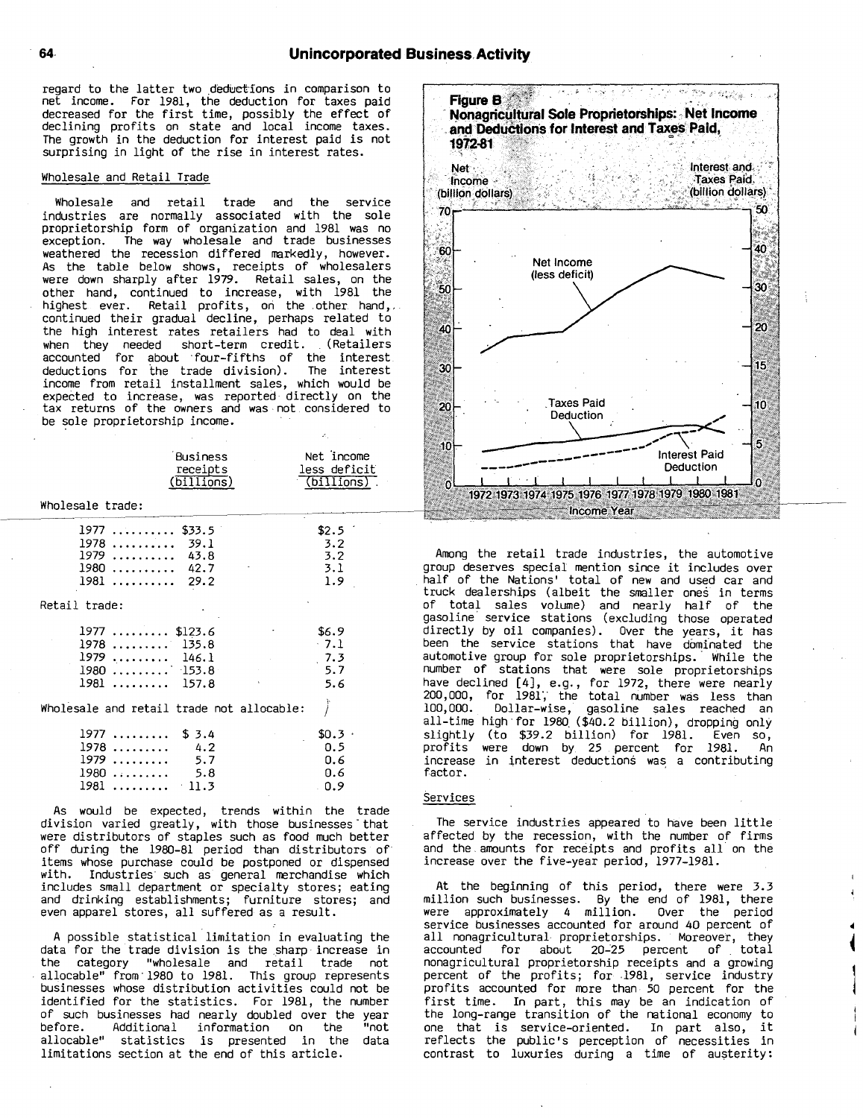regard to the latter two deductions in comparison to net income. For **1981,** the deduction for taxes paid decreased for the first time, possibly the effect of declining profits on state and local income taxes. The growth in the deduction for interest paid is not surprising in light of the rise in interest rates.

#### Wholesale and Retail Trade

Wholesale and retail trade and the service industries are normally associated with the sole proprietorship form of organization and **<sup>1981</sup>** was no The way wholesale and trade businesses weathered the recession differed markedly, however. As the table below shows, receipts of wholesalers were down sharply after **1979.** Retail sales, on the other hand, continued to increase, with **1981** the highest ever. Retail profits, on the other hand,,. continued their gradual decline, perhaps related to the high interest rates retailers had to deal with when they needed short-term credit. (Retailers accounted for about four-fifths of the interest deductions for the trade division). The interest income from retail installment sales, which would be expected to increase, was reported directly on the tax returns of the owners and was not considered to be sole proprietorship income.

|                                                                                                   | <b>Business</b><br>receipts<br>(billions)      | Net income<br>less deficit<br>(billions) |
|---------------------------------------------------------------------------------------------------|------------------------------------------------|------------------------------------------|
| Wholesale trade:                                                                                  |                                                |                                          |
| 1977<br>.<br>1978<br>. . <b>.</b><br>1979<br>. <b>.</b><br>1980<br>. <b>.</b><br>1981<br><u>.</u> | \$33.5<br>39.1<br>43.8<br>42.7<br>29.2         | \$2.5<br>3.2<br>3.2<br>3.1<br>1.9        |
| Retail trade:<br>1977<br>.<br>1978<br>.<br>1979<br>1980<br>1981                                   | \$123.6<br>135.8<br>146.1<br>$-153.8$<br>157.8 | \$6.9<br>$-7.1$<br>7.3<br>5.7<br>5.6     |

Wholesale and retail trade not allocable:

| $1977$ \$ 3.4        |      | \$0.3      |
|----------------------|------|------------|
| $1978$ 4.2           |      | <b>0.5</b> |
| $1979$ 5.7           |      | 0.6        |
| $1980 \ldots \ldots$ | -5.8 | 0.6        |
| $1981$ 11.3          |      | n.9        |

As would be expected, trends within the trade division varied greatly, with those businesses that were distributors of staples such as food much better off during the **1980-81** period than distributors of items whose purchase could be postponed or dispensed Industries' such as general merchandise which includes small department or specialty stores; eating and drinking establishments; furniture stores; and even apparel stores, all suffered as <sup>a</sup> result.

**<sup>A</sup>** possible statistical limitation in evaluating the data for the trade division is the sharp increase in the category "wholesale and retail trade not "wholesale and retail trade not allocable" from'1980 to **1981.** This group represents businesses whose distribution activities could not be identified for the statistics. For **1981,** the number of such businesses had nearly doubled over the year before. Additional information on the "not allocable" statistics is presented in the data limitations section at the end of this article.



Among the retail trade industries, the automotive group deserves special mention since it includes over half of the Nations' total of new and used car and truck dealerships (albeit the smaller ones in terms of total sales volume) and nearly half of the gasoline' service stations (excluding those operated directly **by** oil companies). Over the years, it has been the service stations that have dominated the automotive group for sole proprietorships. **'** While the number of stations that were sole proprietorships have declined [41, e.g., for **1972,** there were nearly 200,000, for **1981','** the total number was less than **100,000.** Dollar-wise, gasoline sales reached an all-time high,for **<sup>1980</sup>** (\$40.2 billion), dropping only **\*** slightly (to **\$39.2** billion) for **1981.** Even so, profits were down **by, <sup>25</sup>** percent for **1981.** An increase in interest deductions was a contributing factor.

# **Services**

The service industries appeared to have been little affected **by** the recession, with the number of firms and the amounts for receipts and profits all on the increase over the five-year period, **1977-1981.**

At the beginning of this period, there were **3.3** million such businesses. **By** the end of **1981,** there were approximately 4 million. Over the period service businesses accounted for around 40 percent of all nonagricultural proprietorships. Moreover, they<br>accounted for about 20-25 percent of total for about 20-25 percent of total nonagricultural proprietorship receipts and <sup>a</sup> growing percent of the profits; for **.1981,** service industry profits accounted for more than **<sup>50</sup>** percent for the first time. In part, this may be an indication of the long-range transition of the national economy to one that is service-oriented. In part also, it reflects the public's perception of necessities in contrast to luxuries during a time of austerity: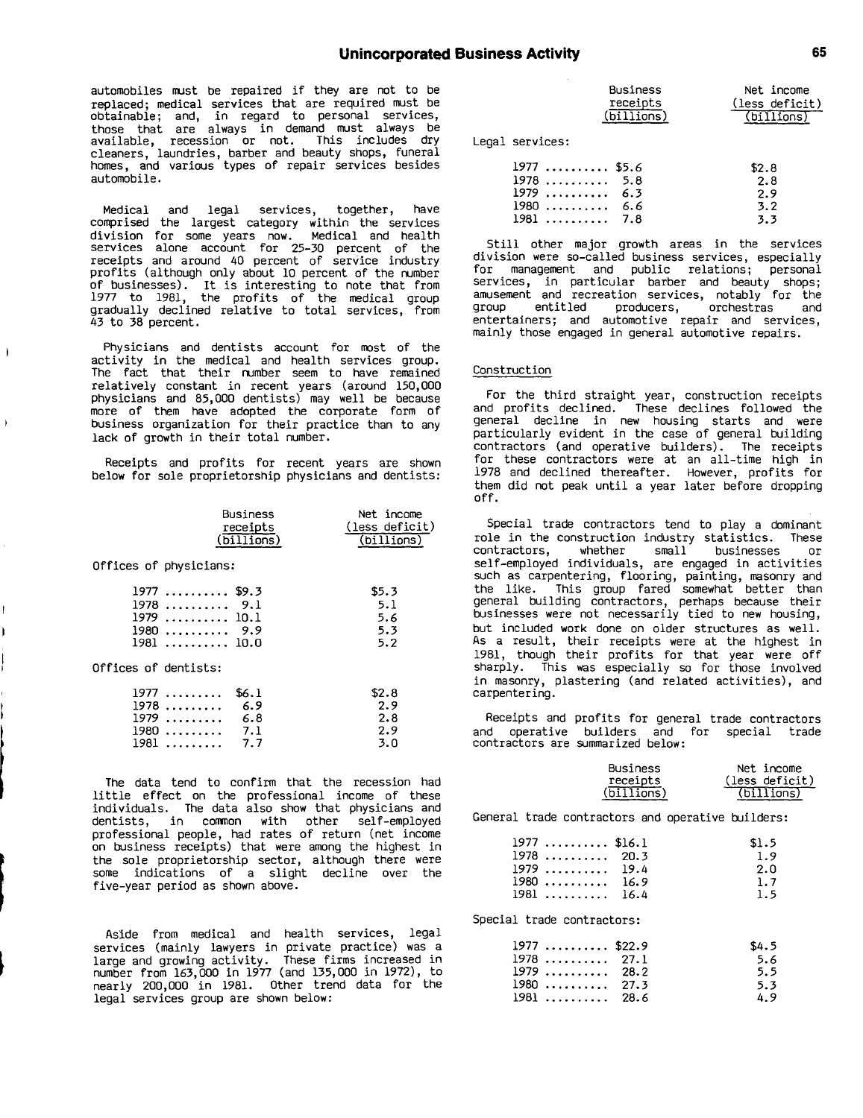automobiles must be repaired if they are not to be replaced; medical services that are required must be obtainable; and, in regard to personal services, those that are always in demand must always be available, recession or not. This includes dry cleaners, laundries, barber and beauty shops, funeral homes, and various types of repair services besides automobile.

Medical and legal services, together, have comprised the largest category within the services division for some years now. Medical and health services alone account for **25-30** percent of the receipts and around 40 percent of service industry profits (although only about **10** percent of the number of businesses). It is interesting to note that from **1977** to **1981,** the profits of the medical group gradually declined relative to total services, from 43 to **38** percent.

Physicians and dentists account for most of the activity in the medical and health services group. The fact that their number seem to have remained relatively constant in recent years (around **150,000** physicians and **85,000** dentists) may well be because more of them have adopted the corporate form of business organization for their practice than to any lack of growth in their total number.

 $\mathbf{I}$ 

Receipts and profits for recent years are shown below for sole proprietorship physicians and dentists:

|                      |                                                                                           | Business<br>receipts<br>$(\overline{\text{billions}})$ | Net income<br>(less deficit)<br>(billions) |
|----------------------|-------------------------------------------------------------------------------------------|--------------------------------------------------------|--------------------------------------------|
|                      | Offices of physicians:                                                                    |                                                        |                                            |
| Offices of dentists: | $1977$ \$9.3<br>$1978$ 9.1<br>1979  10.1<br>$1980 \ldots \ldots \ldots 9.9$<br>1981  10.0 |                                                        | \$5.3<br>5.1<br>5.6<br>5.3<br>5.2          |
|                      | 1977<br>1978<br>$1979$ 6.8<br>$1980 \dots 7.1$<br>1981                                    | \$6.1<br>6.9<br>7.7                                    | \$2.8<br>2.9<br>2.8<br>2.9<br>3.0          |

The data tend to confirm that the recession had little effect on the professional income of these individuals. The data also show that physicians and dentists, in common with other self-employed professional people, had rates of return (net income on business receipts) that were among the highest in the sole proprietorship sector, although there were some indications of <sup>a</sup> slight decline over the five-year period as shown above.

Aside from medical and health services, legal services (mainly lawyers in private practice) was a large and growing activity. These firms increased in number from **163,000** in **1977** (and **135,000** in **1972),** to nearly 200,000 in **1981.** Other trend data for the legal services group are shown below:

|                                                                         | Business<br>receipts<br>$\overline{\text{bilions}}$ | Net income<br>(less deficit)<br>(billions) |
|-------------------------------------------------------------------------|-----------------------------------------------------|--------------------------------------------|
| Legal services:                                                         |                                                     |                                            |
| $1977$ \$5.6<br>19785.8<br>$1979$ 6.3<br>$1980 \dots 666$<br>$1981$ 7.8 |                                                     | \$2.8<br>2.8<br>2.9<br>3.2<br>3.3          |

Still other major growth areas in the services division were so-called business services, especially for management and public relations; personal services, in particular barber and beauty shops; amusement and recreation services, notably for the group entitled producers, orchestras and entertainers; and automotive repair and services, mainly those engaged in general automotive repairs.

# Construction

or the third straight year, construction receipts and profits declined. These declines followed the general decline in new housing starts and were particularly evident in the case of general building contractors (and operative builders). The receipts for these contractors were at an all-time high in **<sup>978</sup>** and declined thereafter. However, profits for them did not peak until <sup>a</sup> year later before dropping **off.**

Special trade contractors tend to play <sup>a</sup> dominant role in the construction industry statistics. These contractors, whether small businesses self-employed individuals, are engaged in activities such as carpentering, flooring, painting, masonry and the like. This group fared somewhat better than general building contractors, perhaps because their businesses were not necessarily tied to new housing, but included work done on older structures as well. As <sup>a</sup> result, their receipts were at the highest in **1981,** though their profits for that year were off sharply. This was especially so for those involved in masonry, plastering (and related activities), and carpentering.

Receipts and profits for general trade contractors and operative builders and for special trade contractors are summarized below:

| Business               | Net income     |
|------------------------|----------------|
| receipts<br>(billions) | (less deficit) |
|                        | (billions)     |

General trade contractors and operative builders:

| $1977$ \$16.1<br>1978<br>20.3<br>1979  19.4<br>$1980$ 16.9<br>1981<br>16.4          | \$1.5<br>1.9<br>2.0<br>1.7<br>1.5 |
|-------------------------------------------------------------------------------------|-----------------------------------|
| Special trade contractors:                                                          |                                   |
| $1977$ \$22.9<br>1978<br>27.1<br>$1979$ 28.2<br>$1980$ 27.3<br>.<br>1981.<br>- 28.6 | \$4.5<br>5.6<br>5.5<br>5.3<br>4.9 |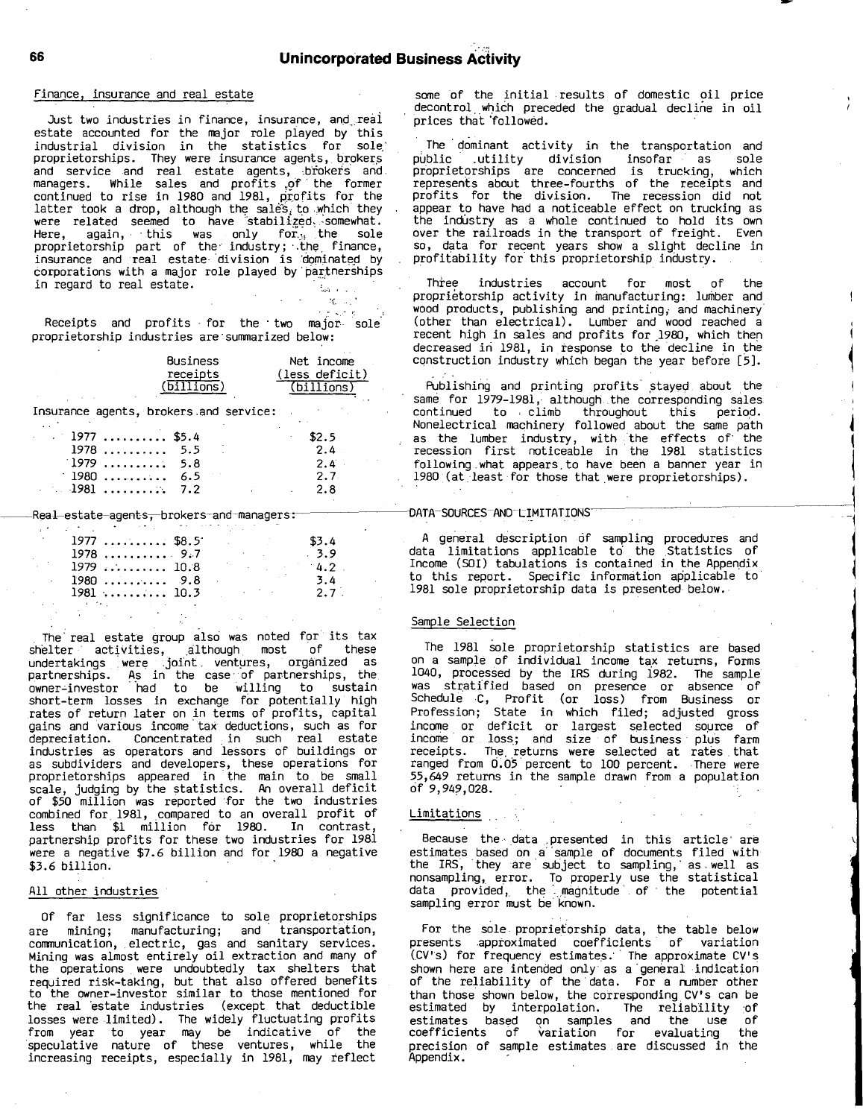### Finance, insurance and real estate

Just two industries in finance, insurance, and real estate accounted for the major role played **by** this industrial division in the statistics for sole.' proprietorships. They were insurance agents, brokers and service and real estate agents,  $,\,$  brokers and managers. While sales and profits <sup>o</sup> **, f'** the former continued to rise in 1980 and 1981, profits for the latter took a drop, although the sales<sub>{</sub> to which they were related seemed to have stabilized, somewhat. Here, again, this was only for $_{\odot}$  the sole  ${\sf proportion}$  part of the industry; the finance, insurance and real estate division is dominated by corporations with a major role played by partnerships in regard to real estate.

Receipts and profits for the two major sole proprietorship industries are: summarized below:

| Business                       | Net income     |
|--------------------------------|----------------|
| receipts                       | (less deficit) |
| $(\overline{\text{billions}})$ | (billions)     |

Insurance agents, brokers.and service:

| $. 1977$ \$5.4 |  | \$2.5   |
|----------------|--|---------|
| $1978$ 5.5     |  | 2.4     |
| $1979$ 5.8     |  | $2.4$ . |
| $1980$ 6.5     |  | 2.7.    |
|                |  | 2. R    |

Real-estate-agents<del>, brokers-and-managers:</del>

| $1977$ \$8.5                     |  |             | \$3.4            |  |
|----------------------------------|--|-------------|------------------|--|
| $1978$ 9.7                       |  |             | .3.9             |  |
| $1979$ 10.8                      |  |             | 4.2 <sub>1</sub> |  |
| $1980 \ldots \ldots \ldots 9.8$  |  |             | 3.4              |  |
| $1981 \ldots \ldots \ldots 10.3$ |  | and the sea | $2.7$ .          |  |
|                                  |  |             |                  |  |

**.** The' real estate group also was noted for its tax shelter activities, although, most **of** these undertakings were Joint, ventures, organized as partnerships. **A '** <sup>s</sup> in the case- of partnerships, the owner-investor had to be willing to sustain short-term losses in exchange for potentially high rates of return later on in terms of profits, capital gains and various income tax deductions, such as for depreciation. Concentrated in such real estate industries as operators and lessors of buildings or as subdividers and developers, these operations for proprietorships appeared in the main to, be small scale, judging **by** the statistics. An overall deficit of **\$50** million was reported for the two industries combined for, **1981,** compared to an overall profit of less than **\$1** million for **1980.** In contrast, partnership profits for these two industries for **<sup>1981</sup>** were <sup>a</sup> negative **\$7.6** billion and for **<sup>1980</sup>** <sup>a</sup> negative **\$3.6** billion.

#### **All** other industries

**Of** far less significance to sole proprietorships are mining; manufacturing; and **'** transportation, communication, electric, gas and sanitary services. Mining was almost entirely oil extraction and many of the operations were undoubtedly tax shelters that required risk-taking, but that also offered benefits to the owner-investor similar to those mentioned for the real 'estate industries (except that deductible losses were limited). The widely fluctuating profits from year to year may be indicative of the speculative nature of these ventures, while the increasing receipts, especially in **1981,** may reflect

some of the initial results of domestic oil price decontrol which preceded the gradual decline in oil prices that **;** followed.

The **.** dominant activity in the transportation and public -utility division insofar as sole proprietorships are concerned is trucking, which represents about three-fourths of the receipts and profits for the division. The recession did not appear to have had a noticeable effect on trucking as the industry as a whole continued to hold its own over the railroads in the transport of freight. Even so, data for recent years show <sup>a</sup> slight decline in profit **I** ability for this proprietorship industry.

Three industries account for most of the proprietorship activity in manufacturing: lumber and wood products, publishing and printing, and machinery (other than electrical). Lumber and wood reached <sup>a</sup> recent high in sales and profits for **1980,** which then decreased in 1981, in response to the decline in the **' \*** construction industry which began the year before

**I**

**I I**

Publishing and printing profits stayed about the same for 1979-1981, although the corresponding sales continued to **:** climb throughout this perio **' d.** Nonelectrical machinery followed about the same path as the lumber industry, with the effects of the recession first noticeable in the **<sup>1981</sup>** statistics following what appears, to have been <sup>a</sup> banner year in 1980 (at least for those that were proprietorships).

# **DATA SOURCES** AND-LIMITATIONS-

**<sup>A</sup>** general description **of** sampling procedures and data limitations applicable td the Statistics of Income (SOI) tabulations is contained in the Appen dix **'** to this report. Specific information applicable to **<sup>1981</sup>** sole proprietorship data is presented below.

#### Sample Selection

The **<sup>1981</sup>** sole proprietorship statistics are based on <sup>a</sup> sample of individual income tax returns, Forms 1040, processed **by** the IRS during **1982.** The sample was stratified based on presence or absence of Schedule **C,** Profit (or loss) from Business or Profession; State in which filed; adjusted gross income or deficit or largest selected source of income or loss; and size of business plus farm receipts. The returns were selected at rates that ranged from 0.05 percent to 100 percent. There were **55,649** returns in the sample drawn from a population of **9,949,028.**

# Limitations

Because the data presented in this article are estimates based on a sample of documents filed with the IRS, they are subject to sampling, as well as nonsampling, error. To properly use the statistical data provided,. the **'\_** magnitude'. of the potential sampling error must be known.

For the sole proprietorship data, the table below presents approximated coefficients of variation (,CV's) for frequency estimates.\* **'** The approximate CV's shown here are intended only as a general indication<br>of the reliability of the data. For a number other than those shown below, the corresponding CV's can be estimated by interpolation. The reliability of estimates based on samples and the use of coefficients of variation for evaluating the precision of sample estimates are discussed in the Appendix.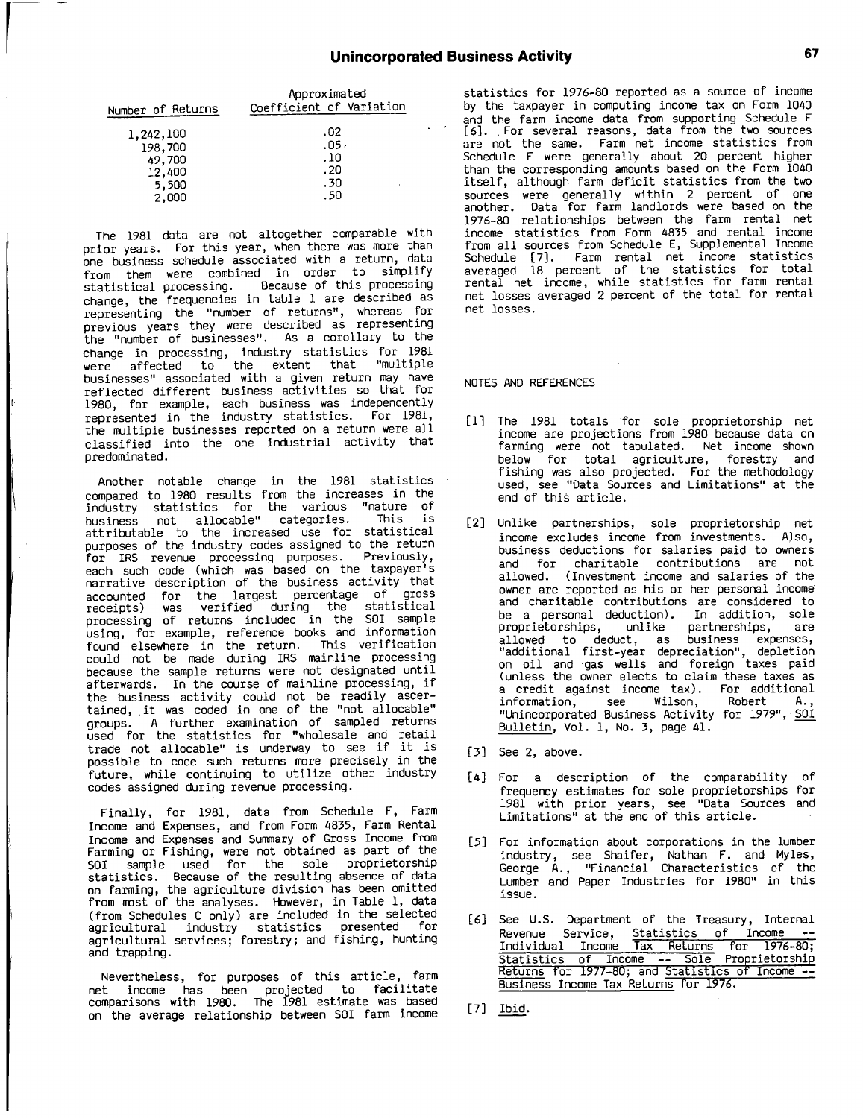| Number of Returns                  | Approximated<br>Coefficient of Variation |
|------------------------------------|------------------------------------------|
| 1,242,100<br>198,700               | .02<br>۰05.<br>.10                       |
| 49,700<br>12,400<br>5,500<br>2,000 | . 20<br>.30<br>. 50                      |

The **<sup>1981</sup>** data are not altogether comparable with prior years. For this year, when there was more than one business schedule associated with <sup>a</sup> return, data from them were combined in order to simplify statistical processing. Because of this processing change, the frequencies in table **I** are described as representing the "number of returns", whereas for previous years they were described as representing the "number of businesses". As <sup>a</sup> corollary to the change in processing, industry statistics for **<sup>1981</sup>** were affected to the extent that "multiple businesses" associated with <sup>a</sup> given return may have reflected different business activities so that for **1980,** for example, each business was independently represented in the industry statistics. For **<sup>1981</sup>** the multiple businesses reported on <sup>a</sup> return were ali classified into the one industrial activity that predominated.

Another notable change in the **<sup>1981</sup>** statistics compared to **<sup>1980</sup>** results from the increases in the industry statistics for the various "nature of business not allocable" categories. This **is** attributable to the increased use for statistical purposes of the industry codes assigned to the return for IRS revenue processing purposes. Previously, each such code (which was based on the taxpayer's narrative description of the business activity that accounted for the largest percentage of gross receipts) was verified during the statistical processing of returns included in the SOI sample using, for example, reference books and information found elsewhere in the return. This verification could not be made during IRS mainline processing because the sample returns were not designated until afterwards. In the course of mainline processing, if the business activity could not be readily ascer-tained, it was coded in one of the "not allocable" groups. **<sup>A</sup>** further examination of sampled returns used for the statistics for "wholesale and retail trade not allocable" is underway to see if it is possible to code such returns more precisely in the future, while continuing to utilize other industry codes assigned during revenue processing.

Finally, for **1981,** data from Schedule F, Farm Income and Expenses, and from Form **4835,** Farm Rental Income and Expenses and Summary of Gross Income from Farming or Fishing, were not obtained as part of the **SOI** sample used for the sole proprietorship statistics. Because of the resulting absence of data on farming, the agriculture division has been omitted from most of the analyses. However, in Table **1,** data (from Schedules **<sup>C</sup>** only) are included in the selected agricultural industry statistics presented for agricultural services; forestry; and fishing, hunting and trapping.

Nevertheless, for purposes of this article, farm net income has been projected to facilitate comparisons with **1980.** The **1981** estimate was based on the average relationship between SOI farm income statistics for **1976-80** reported as <sup>a</sup> source of income **by** the taxpayer in computing income tax on Form 1040 and the farm income data from supporting Schedule <sup>F</sup> **[6]. ,** For several reasons, data from the two sources are not the same. Farm net income statistics from Schedule <sup>F</sup> were generally about 20 percent higher than the corresponding amounts based on the Form 1040 itself, although farm deficit statistics from the two sources were generally within <sup>2</sup> percent of one another. Data for farm landlords were based on the **1976-80** relationships between the farm rental net income statistics from Form **<sup>4835</sup>** and rental income from all sources from Schedule **E,** Supplemental Income Schedule **[7].** Farm rental net income statistics averaged **<sup>18</sup>** percent of the statistics for total rental net income, while statistics for farm rental net losses averaged <sup>2</sup> percent of the total for rental net losses.

#### **NOTES AND REFERENCES**

- **[11** The **1981** totals for sole proprietorship net income are projections from **1980** because data on farming were not tabulated. Net income shown below for total agriculture, forestry and fishing was also projected. For the methodology used, see "Data Sources and Limitations" at the end of this article.
- [21 Unlike partnerships, sole proprietorship net income excludes income from investments. Also, business deductions for salaries paid to owners and for charitable contributions are not allowed. (Investment income and salaries of the owner are reported as his or her personal income and charitable contributions are considered to<br>be a personal deduction). In addition, sole be <sup>a</sup> personal deduction). In addition, sole proprietorships, unlike partnerships, are allowed to deduct, as business expenses, "additional first-year depreciation", depletion on oil and gas wells and foreign taxes paid (unless the owner elects to claim these taxes as <sup>a</sup> credit against income tax). For additional information, see Wilson, Robert **A.,** "Unincorporated Business Activity for **1979", SOI** Bulletin, Vol. **1,** No. **3,** page 41.
- **[31** See 2, above.
- [41 For <sup>a</sup> description of the comparability of frequency estimates for sole proprietorships for **<sup>1981</sup>** with prior years, see "Data Sources and Limitations" at the end of this article.
- **[5]** For information about corporations in the lumber industry, see Shaifer, Nathan F. and Myles, George **A.,** "Financial Characteristics of the Lumber and Paper Industries for 1980" in this issue.
- **[61** See **U.S.** Department of the Treasury, Internal Revenue Service, Statistics of Income **--** Individual Income Tax Returns for 1976-80;<br>Statistics of Income -- Sole Proprietorship<br>Returns for 1977-80; and Statistics of Income --**0** come Business Income Tax Returns for **1976.**
- **[71** Ibid.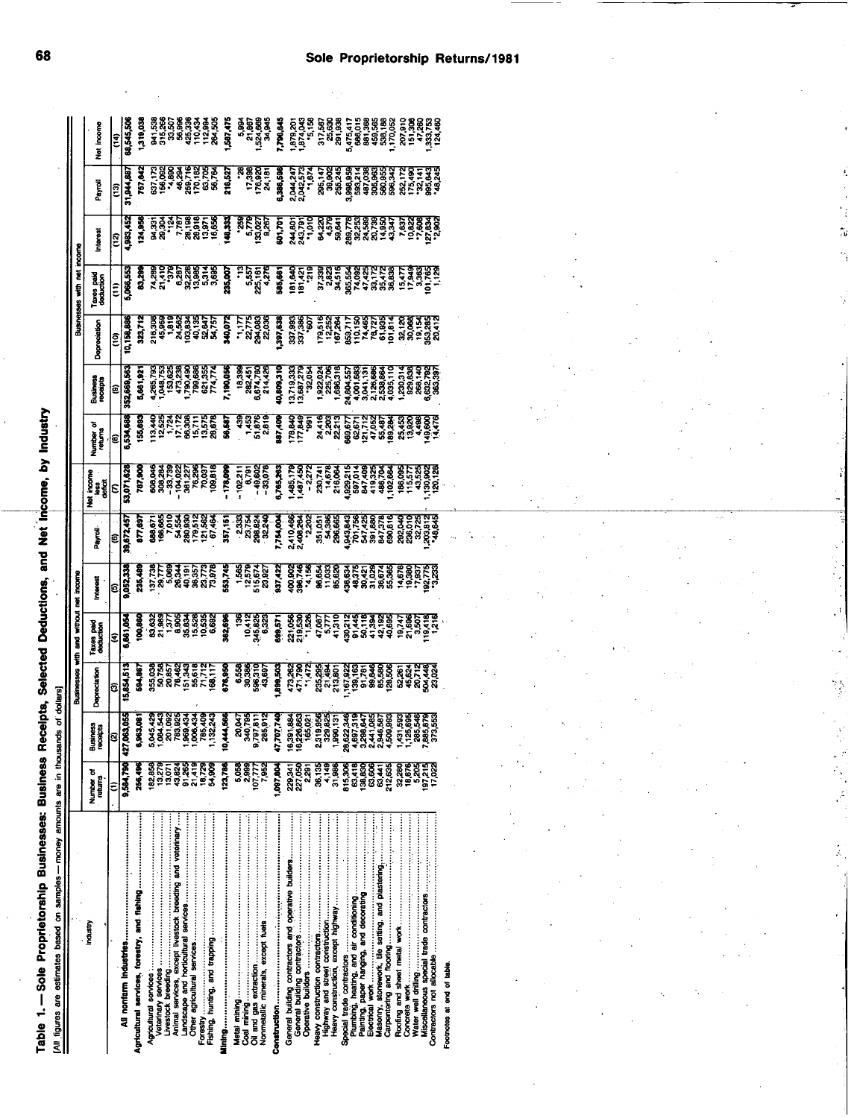| =<br>\$<br>}<br>=<br>$\ddot{\phantom{0}}$<br>$\overline{\phantom{a}}$ |                   |
|-----------------------------------------------------------------------|-------------------|
| $\ddot{\phantom{a}}$<br>į                                             |                   |
| Ī<br>ĺ<br>e Propri<br>$\ddot{\bullet}$<br>֞                           | las monomi a<br>Ī |
| ;                                                                     |                   |

| and Net Income, by I                                                                                                                                                                                                                 |                                                                                |
|--------------------------------------------------------------------------------------------------------------------------------------------------------------------------------------------------------------------------------------|--------------------------------------------------------------------------------|
|                                                                                                                                                                                                                                      |                                                                                |
|                                                                                                                                                                                                                                      |                                                                                |
|                                                                                                                                                                                                                                      |                                                                                |
|                                                                                                                                                                                                                                      |                                                                                |
|                                                                                                                                                                                                                                      |                                                                                |
| <b>Contract Contract of the Contract of the Contract of the Contract of the Contract of the Contract of the Contract of the Contract of the Contract of the Contract of the Contract of the Contract of the Contract of the Cont</b> |                                                                                |
| ו<br>ו                                                                                                                                                                                                                               |                                                                                |
|                                                                                                                                                                                                                                      |                                                                                |
|                                                                                                                                                                                                                                      |                                                                                |
| <b>Netters Store the Second Store Store Store Second Store Store Second Store Store Store Store Store Store Store Store Store Store Store Store Store Store Store Store Store Store Store Store Store Store Store Store Store St</b> |                                                                                |
|                                                                                                                                                                                                                                      |                                                                                |
|                                                                                                                                                                                                                                      |                                                                                |
|                                                                                                                                                                                                                                      |                                                                                |
|                                                                                                                                                                                                                                      |                                                                                |
|                                                                                                                                                                                                                                      |                                                                                |
| DUDIT SSDIISTO                                                                                                                                                                                                                       |                                                                                |
|                                                                                                                                                                                                                                      |                                                                                |
|                                                                                                                                                                                                                                      |                                                                                |
|                                                                                                                                                                                                                                      |                                                                                |
|                                                                                                                                                                                                                                      |                                                                                |
|                                                                                                                                                                                                                                      |                                                                                |
|                                                                                                                                                                                                                                      |                                                                                |
| - Sababa<br>Danama<br>D                                                                                                                                                                                                              |                                                                                |
|                                                                                                                                                                                                                                      |                                                                                |
|                                                                                                                                                                                                                                      |                                                                                |
|                                                                                                                                                                                                                                      |                                                                                |
|                                                                                                                                                                                                                                      |                                                                                |
| 1 :SasSalusha di!!S.Dia:nh1) anno — :                                                                                                                                                                                                | s are estimates based on samples -- money amounts are in thousands of dollars) |
|                                                                                                                                                                                                                                      |                                                                                |
|                                                                                                                                                                                                                                      |                                                                                |
|                                                                                                                                                                                                                                      |                                                                                |
|                                                                                                                                                                                                                                      |                                                                                |
|                                                                                                                                                                                                                                      |                                                                                |

|                                                           |                      |                             |              | Businesses with and without | income<br>ě                                                                                                                |                                                                                                                                                                                                                                                  |                     |                   |                      | Businesses          | net income<br>ş                                                                                                                                                 |         |        |            |  |
|-----------------------------------------------------------|----------------------|-----------------------------|--------------|-----------------------------|----------------------------------------------------------------------------------------------------------------------------|--------------------------------------------------------------------------------------------------------------------------------------------------------------------------------------------------------------------------------------------------|---------------------|-------------------|----------------------|---------------------|-----------------------------------------------------------------------------------------------------------------------------------------------------------------|---------|--------|------------|--|
| Industry                                                  | Number of<br>returns | <b>Business</b><br>receipts | Depreciation | Taxes paid<br>deduction     | Interest                                                                                                                   | <b>Porver</b>                                                                                                                                                                                                                                    | ්සෙන<br>මෙරි<br>රවේ | Number<br>returns | Business<br>receipts | <b>Depreciation</b> | Taxes paid<br>deduction                                                                                                                                         | Interes | Payrol | incom<br>ž |  |
|                                                           | Ξ                    | Q                           | 6            |                             |                                                                                                                            | Θ                                                                                                                                                                                                                                                |                     | ®,                |                      |                     |                                                                                                                                                                 |         |        | 회          |  |
|                                                           | 9,584,790            |                             |              | ,961,05                     | $\frac{(5)}{052,33}$                                                                                                       | 39,672,45                                                                                                                                                                                                                                        | 53,071,62           |                   | (9)<br>152,669,56:   |                     | $\frac{(1)}{0.066,55}$                                                                                                                                          |         |        |            |  |
| Agricultural services, forestry, and fishing              | 256,496              |                             |              |                             |                                                                                                                            |                                                                                                                                                                                                                                                  |                     |                   |                      |                     |                                                                                                                                                                 |         |        | 1,319,03   |  |
|                                                           | 182,858              |                             |              |                             |                                                                                                                            |                                                                                                                                                                                                                                                  |                     |                   |                      |                     |                                                                                                                                                                 |         |        |            |  |
|                                                           | 13.279               |                             |              |                             |                                                                                                                            |                                                                                                                                                                                                                                                  |                     |                   |                      |                     |                                                                                                                                                                 |         |        |            |  |
| Animal services, except livestock breeding and veterinary | 43,824<br>13.07      |                             |              |                             |                                                                                                                            |                                                                                                                                                                                                                                                  |                     |                   |                      |                     |                                                                                                                                                                 |         |        |            |  |
|                                                           |                      |                             |              |                             |                                                                                                                            |                                                                                                                                                                                                                                                  |                     |                   |                      |                     |                                                                                                                                                                 |         |        |            |  |
|                                                           | 91.419<br>21.419     |                             |              |                             |                                                                                                                            |                                                                                                                                                                                                                                                  |                     |                   |                      |                     |                                                                                                                                                                 |         |        |            |  |
|                                                           | 18,729<br>54.90      |                             |              |                             | a kestedel a sereda da sere passante estede<br>1 estedes da sereda da sere passante estedes<br>1 estedes da serega da sere | <b>a</b> raznada – panala – panala – panala – panala – panala – panala – panala – panala – panala – panala – panala<br><b>1988 – panala – panala – panala – panala – panala – panala – panala – panala – panala – panala – panala – pan<br/></b> |                     |                   |                      |                     | a stranger a fragt a stranger sødelt a fragt.<br>Stranger af stranger af stranger sødelt andet sødelt af sødelt af sødelt af sødelt af sødelt af sødelt af søde |         |        |            |  |
|                                                           | 123,780              |                             |              |                             |                                                                                                                            |                                                                                                                                                                                                                                                  |                     |                   |                      |                     |                                                                                                                                                                 |         |        |            |  |
|                                                           | 5,058                |                             |              |                             |                                                                                                                            |                                                                                                                                                                                                                                                  |                     |                   |                      |                     |                                                                                                                                                                 |         |        |            |  |
|                                                           | 2.999                |                             |              |                             |                                                                                                                            |                                                                                                                                                                                                                                                  |                     |                   |                      |                     |                                                                                                                                                                 |         |        |            |  |
|                                                           | 7,953<br>107.77      |                             |              |                             |                                                                                                                            |                                                                                                                                                                                                                                                  |                     |                   |                      |                     |                                                                                                                                                                 |         |        |            |  |
|                                                           |                      |                             |              |                             |                                                                                                                            |                                                                                                                                                                                                                                                  |                     |                   |                      |                     |                                                                                                                                                                 |         |        |            |  |
|                                                           | 1,007,80             |                             |              |                             |                                                                                                                            |                                                                                                                                                                                                                                                  |                     |                   |                      |                     |                                                                                                                                                                 |         |        |            |  |
| General building contractors and operative builders       | 227,050<br>229,341   |                             |              |                             |                                                                                                                            |                                                                                                                                                                                                                                                  |                     |                   |                      |                     |                                                                                                                                                                 |         |        |            |  |
|                                                           | 2,291                |                             |              |                             |                                                                                                                            |                                                                                                                                                                                                                                                  |                     |                   |                      |                     |                                                                                                                                                                 |         |        |            |  |
|                                                           | 36,135               |                             |              |                             |                                                                                                                            |                                                                                                                                                                                                                                                  |                     |                   |                      |                     |                                                                                                                                                                 |         |        |            |  |
|                                                           | 4,149<br>31,986      |                             |              |                             |                                                                                                                            |                                                                                                                                                                                                                                                  |                     |                   |                      |                     |                                                                                                                                                                 |         |        |            |  |
|                                                           | 815,306              |                             |              |                             |                                                                                                                            |                                                                                                                                                                                                                                                  |                     |                   |                      |                     |                                                                                                                                                                 |         |        |            |  |
|                                                           | 83,418               |                             |              |                             |                                                                                                                            |                                                                                                                                                                                                                                                  |                     |                   |                      |                     |                                                                                                                                                                 |         |        |            |  |
|                                                           | 138.89<br>83.89      |                             |              |                             |                                                                                                                            |                                                                                                                                                                                                                                                  |                     |                   |                      |                     |                                                                                                                                                                 |         |        |            |  |
| Masonry, stonework, tile setting, and plastering          | 63,441               |                             |              |                             |                                                                                                                            |                                                                                                                                                                                                                                                  |                     |                   |                      |                     |                                                                                                                                                                 |         |        |            |  |
|                                                           | 212,635              |                             |              |                             |                                                                                                                            |                                                                                                                                                                                                                                                  |                     |                   |                      |                     |                                                                                                                                                                 |         |        |            |  |
|                                                           | 32,280               |                             |              |                             |                                                                                                                            |                                                                                                                                                                                                                                                  |                     |                   |                      |                     |                                                                                                                                                                 |         |        |            |  |
|                                                           | 18.676               |                             |              |                             |                                                                                                                            |                                                                                                                                                                                                                                                  |                     |                   |                      |                     |                                                                                                                                                                 |         |        |            |  |
|                                                           | 5.205                |                             |              |                             |                                                                                                                            |                                                                                                                                                                                                                                                  |                     |                   |                      |                     |                                                                                                                                                                 |         |        |            |  |
|                                                           | 197.218<br>17.021    |                             |              |                             |                                                                                                                            |                                                                                                                                                                                                                                                  |                     |                   |                      |                     |                                                                                                                                                                 |         |        |            |  |
| Footnotes at end of table.                                |                      |                             |              |                             |                                                                                                                            |                                                                                                                                                                                                                                                  |                     |                   |                      |                     |                                                                                                                                                                 |         |        |            |  |
|                                                           |                      |                             |              |                             |                                                                                                                            |                                                                                                                                                                                                                                                  |                     |                   |                      |                     |                                                                                                                                                                 |         |        |            |  |

í.

÷,  $\frac{\partial}{\partial \theta}$ Š.

ÿ.

₹ģ,

 $\frac{d}{dt}$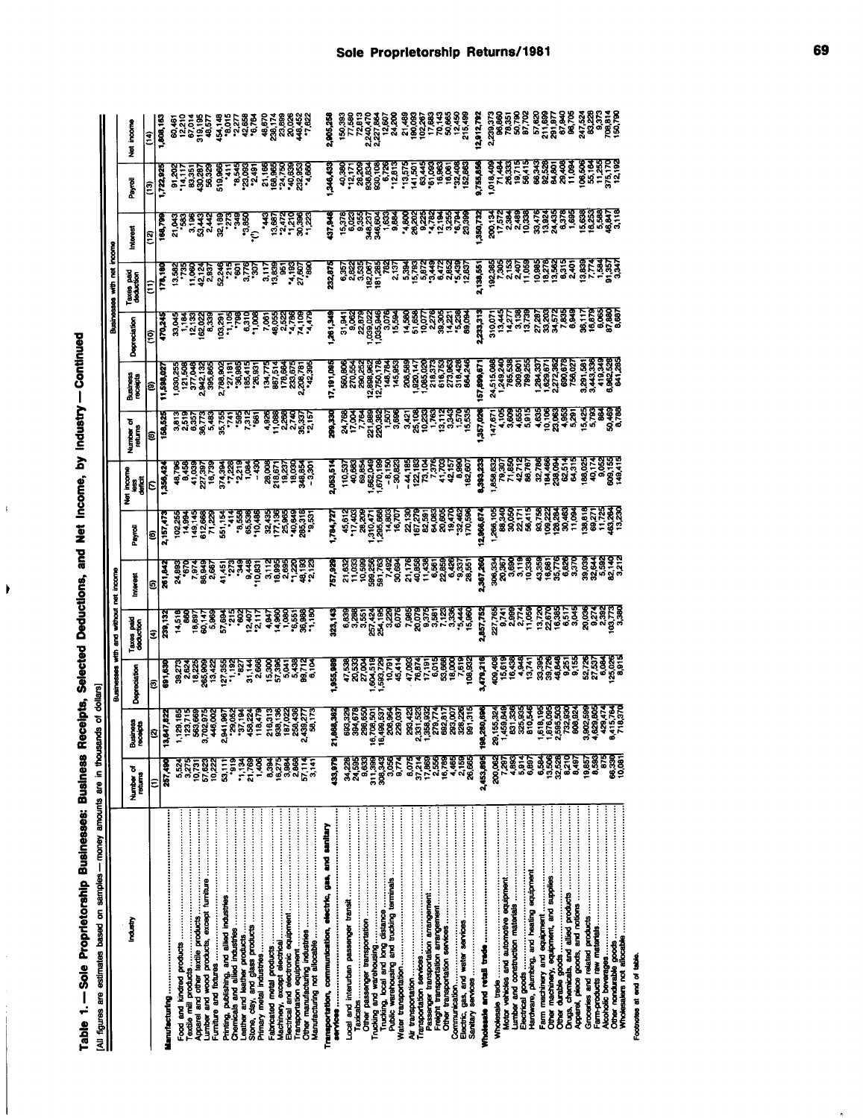| <br> <br>                       |                  |
|---------------------------------|------------------|
| $\overline{a}$<br>$\frac{1}{2}$ |                  |
|                                 |                  |
|                                 |                  |
|                                 |                  |
|                                 |                  |
| j                               | .<br>.<br>.<br>. |
| $\mathcal{L}(\mathcal{L})$      |                  |
|                                 |                  |
|                                 |                  |
| $\frac{1}{2}$                   |                  |

 $\mathbf{r}$ 

 $\blacktriangleright$ 

| the company of the company of the<br>I<br>ĺ |
|---------------------------------------------|
| i<br>i                                      |
| ---- antimates are-<br>pangalas<br>D        |
|                                             |
|                                             |

|                                                            |                         |                      | Businesses                                                                       | with and without                                                                                                                                                                                                                      | incom<br>Ĕ                                                                                                                                                                                                                                                                                                                                                                                                                                                                                                                           |           |                                                                                                                                                                                   |                      |                      |                                                                                                                                                   | Businesses with                                                                                                                                                                                                                      |                                                                                                                                                  |                                                                                                                                         |                         |
|------------------------------------------------------------|-------------------------|----------------------|----------------------------------------------------------------------------------|---------------------------------------------------------------------------------------------------------------------------------------------------------------------------------------------------------------------------------------|--------------------------------------------------------------------------------------------------------------------------------------------------------------------------------------------------------------------------------------------------------------------------------------------------------------------------------------------------------------------------------------------------------------------------------------------------------------------------------------------------------------------------------------|-----------|-----------------------------------------------------------------------------------------------------------------------------------------------------------------------------------|----------------------|----------------------|---------------------------------------------------------------------------------------------------------------------------------------------------|--------------------------------------------------------------------------------------------------------------------------------------------------------------------------------------------------------------------------------------|--------------------------------------------------------------------------------------------------------------------------------------------------|-----------------------------------------------------------------------------------------------------------------------------------------|-------------------------|
| Industry                                                   | Number of<br>returns    | Business<br>receipts | Depreciation                                                                     | Taxes paid<br>deduction                                                                                                                                                                                                               | Interes                                                                                                                                                                                                                                                                                                                                                                                                                                                                                                                              | Payrol    | n<br>Lag<br>Safar<br>ž                                                                                                                                                            | Number of<br>returns | Business<br>receipts | Depreciation                                                                                                                                      | Taxes paid<br>deduction                                                                                                                                                                                                              | merest                                                                                                                                           | Payal                                                                                                                                   | incom<br>ž              |
|                                                            | ε                       |                      | Ξ                                                                                | ₹                                                                                                                                                                                                                                     |                                                                                                                                                                                                                                                                                                                                                                                                                                                                                                                                      |           |                                                                                                                                                                                   |                      | $\frac{1}{1,598,02}$ |                                                                                                                                                   |                                                                                                                                                                                                                                      |                                                                                                                                                  |                                                                                                                                         | $\frac{(14)}{500}$ , 16 |
|                                                            | 257,490                 |                      | 691,63                                                                           |                                                                                                                                                                                                                                       |                                                                                                                                                                                                                                                                                                                                                                                                                                                                                                                                      |           |                                                                                                                                                                                   |                      |                      |                                                                                                                                                   |                                                                                                                                                                                                                                      |                                                                                                                                                  |                                                                                                                                         |                         |
|                                                            | 5,524                   |                      |                                                                                  |                                                                                                                                                                                                                                       |                                                                                                                                                                                                                                                                                                                                                                                                                                                                                                                                      |           |                                                                                                                                                                                   |                      |                      |                                                                                                                                                   |                                                                                                                                                                                                                                      |                                                                                                                                                  |                                                                                                                                         |                         |
|                                                            | 3.275<br>10.731         |                      |                                                                                  |                                                                                                                                                                                                                                       |                                                                                                                                                                                                                                                                                                                                                                                                                                                                                                                                      |           |                                                                                                                                                                                   |                      |                      |                                                                                                                                                   |                                                                                                                                                                                                                                      |                                                                                                                                                  |                                                                                                                                         |                         |
|                                                            | ន្តរា<br>ធំ<br>និង      |                      | នីទីទីទី១ និង មិន ខ្លួន <u>ទី១</u><br>ខ្លួន ទី១ និង មិន ខ្លួន ទី១ ខ្លួន ទី១ ខ្លួ |                                                                                                                                                                                                                                       | $\begin{array}{r} \hline \text{(a)} \\ \hline \text{(b)} \\ \text{(c)} \\ \text{(d)} \\ \text{(e)} \\ \text{(f)} \\ \text{(g)} \\ \text{(h)} \\ \text{(i)} \\ \text{(j)} \\ \text{(k)} \\ \text{(l)} \\ \text{(l)} \\ \text{(l)} \\ \text{(l)} \\ \text{(l)} \\ \text{(l)} \\ \text{(l)} \\ \text{(l)} \\ \text{(l)} \\ \text{(l)} \\ \text{(l)} \\ \text{(l)} \\ \text{(l)} \\ \text{(l)} \\ \text{(l)} \\ \text{(l)} \\ \text{(l)} \\ \text{(l)} \\ \text{(l)} \\ \text{(l)} \\ \text{(l)} \\ \text{(l)} \\ \text{(l)} \\ \text{($ |           | ខេត្ត ខេត្ត ខេត្ត ដែល ខេត្ត ខេត្ត ខេត្ត<br> - ខេត្ត ទី ទី ខេត្ត ដែល ខេត្ត ខេត្ត ខេត្ត ខេត្ត<br> - ខេត្ត ខេត្ត ខេត្ត ដែល ខេត្ត ខេត្ត ខេត្ត ខេ                                      |                      |                      |                                                                                                                                                   |                                                                                                                                                                                                                                      | តៀត<br>  ខែ និង ទី និង ទី ដឹង ខែ ដែល ខេ ដែល<br>  ខែ និង ទី និង ទី ដឹង ខែ ដឹង ខែ និង                                                              | ្រុះ ដូក្កូដូនី ដូកូ ដូច ដូច ដូច ដូច ដូច<br>ស្រុក មានមិន ដូ ដូច ដូច ដូច ដូច ដូច<br>នៅ ដូច ដូច ដូច ដូច ដូច ដូច ដូច ដូច                   |                         |
|                                                            | 53,111                  |                      |                                                                                  |                                                                                                                                                                                                                                       |                                                                                                                                                                                                                                                                                                                                                                                                                                                                                                                                      |           |                                                                                                                                                                                   |                      |                      |                                                                                                                                                   |                                                                                                                                                                                                                                      |                                                                                                                                                  |                                                                                                                                         |                         |
|                                                            | °919                    |                      |                                                                                  |                                                                                                                                                                                                                                       |                                                                                                                                                                                                                                                                                                                                                                                                                                                                                                                                      |           |                                                                                                                                                                                   |                      |                      |                                                                                                                                                   |                                                                                                                                                                                                                                      |                                                                                                                                                  |                                                                                                                                         |                         |
|                                                            | 21,769<br>-1,134        |                      |                                                                                  |                                                                                                                                                                                                                                       |                                                                                                                                                                                                                                                                                                                                                                                                                                                                                                                                      |           |                                                                                                                                                                                   |                      |                      |                                                                                                                                                   |                                                                                                                                                                                                                                      |                                                                                                                                                  |                                                                                                                                         |                         |
|                                                            | $\frac{406}{1}$         |                      |                                                                                  |                                                                                                                                                                                                                                       |                                                                                                                                                                                                                                                                                                                                                                                                                                                                                                                                      |           |                                                                                                                                                                                   |                      |                      |                                                                                                                                                   |                                                                                                                                                                                                                                      |                                                                                                                                                  |                                                                                                                                         |                         |
|                                                            | 8.394                   |                      |                                                                                  |                                                                                                                                                                                                                                       |                                                                                                                                                                                                                                                                                                                                                                                                                                                                                                                                      |           |                                                                                                                                                                                   |                      |                      |                                                                                                                                                   |                                                                                                                                                                                                                                      |                                                                                                                                                  |                                                                                                                                         |                         |
|                                                            | 16,275<br>3,884         |                      |                                                                                  |                                                                                                                                                                                                                                       |                                                                                                                                                                                                                                                                                                                                                                                                                                                                                                                                      |           |                                                                                                                                                                                   |                      |                      |                                                                                                                                                   |                                                                                                                                                                                                                                      |                                                                                                                                                  |                                                                                                                                         |                         |
|                                                            | 57,114<br>2,868         |                      |                                                                                  |                                                                                                                                                                                                                                       |                                                                                                                                                                                                                                                                                                                                                                                                                                                                                                                                      |           |                                                                                                                                                                                   |                      |                      |                                                                                                                                                   |                                                                                                                                                                                                                                      |                                                                                                                                                  |                                                                                                                                         |                         |
|                                                            | 3,141                   |                      |                                                                                  |                                                                                                                                                                                                                                       |                                                                                                                                                                                                                                                                                                                                                                                                                                                                                                                                      |           |                                                                                                                                                                                   |                      |                      |                                                                                                                                                   |                                                                                                                                                                                                                                      |                                                                                                                                                  |                                                                                                                                         |                         |
| Transportation, communication, electric, gas, and sanitary | 133,979                 | ឥ                    | ,955,981                                                                         | 323,14                                                                                                                                                                                                                                | 757,92                                                                                                                                                                                                                                                                                                                                                                                                                                                                                                                               | 1,784,727 | 2,053,51                                                                                                                                                                          | 299,330              | 17, 191,09           |                                                                                                                                                   |                                                                                                                                                                                                                                      |                                                                                                                                                  |                                                                                                                                         | 2,905,25                |
| <b>services ………………………………………………………………………</b>                |                         |                      |                                                                                  |                                                                                                                                                                                                                                       |                                                                                                                                                                                                                                                                                                                                                                                                                                                                                                                                      |           |                                                                                                                                                                                   |                      |                      |                                                                                                                                                   |                                                                                                                                                                                                                                      |                                                                                                                                                  |                                                                                                                                         |                         |
|                                                            | 34,228<br>24,595        |                      |                                                                                  |                                                                                                                                                                                                                                       |                                                                                                                                                                                                                                                                                                                                                                                                                                                                                                                                      |           |                                                                                                                                                                                   |                      |                      |                                                                                                                                                   |                                                                                                                                                                                                                                      |                                                                                                                                                  |                                                                                                                                         |                         |
|                                                            | 9,633                   |                      |                                                                                  |                                                                                                                                                                                                                                       |                                                                                                                                                                                                                                                                                                                                                                                                                                                                                                                                      |           |                                                                                                                                                                                   |                      |                      |                                                                                                                                                   |                                                                                                                                                                                                                                      |                                                                                                                                                  |                                                                                                                                         |                         |
|                                                            | 308,343<br>311,399      |                      |                                                                                  |                                                                                                                                                                                                                                       |                                                                                                                                                                                                                                                                                                                                                                                                                                                                                                                                      |           |                                                                                                                                                                                   |                      |                      |                                                                                                                                                   |                                                                                                                                                                                                                                      |                                                                                                                                                  |                                                                                                                                         |                         |
|                                                            | 3,056                   |                      |                                                                                  |                                                                                                                                                                                                                                       |                                                                                                                                                                                                                                                                                                                                                                                                                                                                                                                                      |           |                                                                                                                                                                                   |                      |                      |                                                                                                                                                   |                                                                                                                                                                                                                                      |                                                                                                                                                  |                                                                                                                                         |                         |
|                                                            | 9,774                   |                      |                                                                                  |                                                                                                                                                                                                                                       |                                                                                                                                                                                                                                                                                                                                                                                                                                                                                                                                      |           |                                                                                                                                                                                   |                      |                      |                                                                                                                                                   |                                                                                                                                                                                                                                      |                                                                                                                                                  |                                                                                                                                         |                         |
|                                                            | 8,075<br>37,214         |                      |                                                                                  |                                                                                                                                                                                                                                       |                                                                                                                                                                                                                                                                                                                                                                                                                                                                                                                                      |           |                                                                                                                                                                                   |                      |                      |                                                                                                                                                   |                                                                                                                                                                                                                                      |                                                                                                                                                  |                                                                                                                                         |                         |
|                                                            | 17.88                   |                      |                                                                                  |                                                                                                                                                                                                                                       |                                                                                                                                                                                                                                                                                                                                                                                                                                                                                                                                      |           |                                                                                                                                                                                   |                      |                      |                                                                                                                                                   |                                                                                                                                                                                                                                      |                                                                                                                                                  |                                                                                                                                         |                         |
|                                                            | 16.789<br>352           |                      |                                                                                  |                                                                                                                                                                                                                                       |                                                                                                                                                                                                                                                                                                                                                                                                                                                                                                                                      |           |                                                                                                                                                                                   |                      |                      |                                                                                                                                                   |                                                                                                                                                                                                                                      |                                                                                                                                                  |                                                                                                                                         |                         |
|                                                            | 4,465                   |                      |                                                                                  |                                                                                                                                                                                                                                       |                                                                                                                                                                                                                                                                                                                                                                                                                                                                                                                                      |           |                                                                                                                                                                                   |                      |                      |                                                                                                                                                   |                                                                                                                                                                                                                                      |                                                                                                                                                  |                                                                                                                                         |                         |
|                                                            | 2,159<br>28,665         |                      |                                                                                  |                                                                                                                                                                                                                                       |                                                                                                                                                                                                                                                                                                                                                                                                                                                                                                                                      |           |                                                                                                                                                                                   |                      |                      |                                                                                                                                                   |                                                                                                                                                                                                                                      |                                                                                                                                                  |                                                                                                                                         |                         |
|                                                            | 2,453,895               | ģ                    |                                                                                  |                                                                                                                                                                                                                                       |                                                                                                                                                                                                                                                                                                                                                                                                                                                                                                                                      |           |                                                                                                                                                                                   |                      |                      |                                                                                                                                                   |                                                                                                                                                                                                                                      |                                                                                                                                                  |                                                                                                                                         |                         |
|                                                            | 200,002                 |                      |                                                                                  |                                                                                                                                                                                                                                       |                                                                                                                                                                                                                                                                                                                                                                                                                                                                                                                                      |           |                                                                                                                                                                                   |                      |                      |                                                                                                                                                   |                                                                                                                                                                                                                                      |                                                                                                                                                  |                                                                                                                                         |                         |
|                                                            | 7,297<br>4,893          |                      |                                                                                  |                                                                                                                                                                                                                                       |                                                                                                                                                                                                                                                                                                                                                                                                                                                                                                                                      |           |                                                                                                                                                                                   |                      |                      |                                                                                                                                                   |                                                                                                                                                                                                                                      |                                                                                                                                                  |                                                                                                                                         |                         |
|                                                            | 5.814                   |                      |                                                                                  |                                                                                                                                                                                                                                       |                                                                                                                                                                                                                                                                                                                                                                                                                                                                                                                                      |           |                                                                                                                                                                                   |                      |                      |                                                                                                                                                   |                                                                                                                                                                                                                                      |                                                                                                                                                  |                                                                                                                                         |                         |
|                                                            | 6,897                   |                      |                                                                                  |                                                                                                                                                                                                                                       |                                                                                                                                                                                                                                                                                                                                                                                                                                                                                                                                      |           |                                                                                                                                                                                   |                      |                      |                                                                                                                                                   |                                                                                                                                                                                                                                      |                                                                                                                                                  |                                                                                                                                         |                         |
| Farm machinery and equipment                               | $\frac{3}{2}$<br>13.506 |                      |                                                                                  |                                                                                                                                                                                                                                       |                                                                                                                                                                                                                                                                                                                                                                                                                                                                                                                                      |           |                                                                                                                                                                                   |                      |                      |                                                                                                                                                   |                                                                                                                                                                                                                                      |                                                                                                                                                  |                                                                                                                                         |                         |
|                                                            | 32.528                  |                      |                                                                                  |                                                                                                                                                                                                                                       |                                                                                                                                                                                                                                                                                                                                                                                                                                                                                                                                      |           |                                                                                                                                                                                   |                      |                      |                                                                                                                                                   |                                                                                                                                                                                                                                      |                                                                                                                                                  |                                                                                                                                         |                         |
|                                                            | 3210<br>8,497           |                      |                                                                                  |                                                                                                                                                                                                                                       |                                                                                                                                                                                                                                                                                                                                                                                                                                                                                                                                      |           |                                                                                                                                                                                   |                      |                      |                                                                                                                                                   |                                                                                                                                                                                                                                      |                                                                                                                                                  |                                                                                                                                         |                         |
|                                                            | 19,857                  |                      |                                                                                  |                                                                                                                                                                                                                                       |                                                                                                                                                                                                                                                                                                                                                                                                                                                                                                                                      |           |                                                                                                                                                                                   |                      |                      |                                                                                                                                                   |                                                                                                                                                                                                                                      |                                                                                                                                                  |                                                                                                                                         |                         |
|                                                            | 8.593<br>ទ              |                      |                                                                                  |                                                                                                                                                                                                                                       |                                                                                                                                                                                                                                                                                                                                                                                                                                                                                                                                      |           |                                                                                                                                                                                   |                      |                      |                                                                                                                                                   |                                                                                                                                                                                                                                      |                                                                                                                                                  |                                                                                                                                         |                         |
|                                                            | 66,330<br>10,081        |                      |                                                                                  | <b>a skup of the skup of the skup of the skup of the skup of the skup of the skup of the skup of the skup of the s</b><br>The skup of the skup of the skup of the skup of the skup of the skup of the skup of the skup of the skup of |                                                                                                                                                                                                                                                                                                                                                                                                                                                                                                                                      |           | ីទីក្ដីដូច និង មានក្ដីដូច និង ដូច និង ដូច និង ដូច និង<br>ដូច និង មីដូច និង ដូច និង ដូច និង ដូច និង ដូច និង ដូច និង<br>និង ដូច និង ដូច និង ដូច និង ដូច និង ដូច និង ដូច និង ដូច និង |                      |                      | a agenasê rojên de de li baliye niheta kurdî<br>1 september - Sandar û Serwe de li savê rojên de<br>1 september - Sandar û Serwe de li savê rojên | re to the search of the search of the search of the search of the search of the search of the search of the se<br>The search of the search of the search of the search of the search of the search of the search of the search o<br> | ្រី ដូចដូចខ្លួន ខ្លួនដូចដូចដូច ដូចដូចដូចដូចដូចដូច<br>អ្នកចូលដូចដូច ដូចដូចដូចដូចដូចដូចដូចដូចដូចដូចដូច<br>អ្នកចូលដូចដូចដូចដូចដូចដូចដូចដូចដូចដូចដូច | <b>ti</b><br><b>A</b> airgas <sub>a</sub> i biras a shakin ki airgas a shakin shiri<br>A shaka a marka a shaka a shaka a shaka a shekar |                         |
| Footnotes at end of table.                                 |                         |                      |                                                                                  |                                                                                                                                                                                                                                       |                                                                                                                                                                                                                                                                                                                                                                                                                                                                                                                                      |           |                                                                                                                                                                                   |                      |                      |                                                                                                                                                   |                                                                                                                                                                                                                                      |                                                                                                                                                  |                                                                                                                                         |                         |

 $\hat{\mathbf{n}}$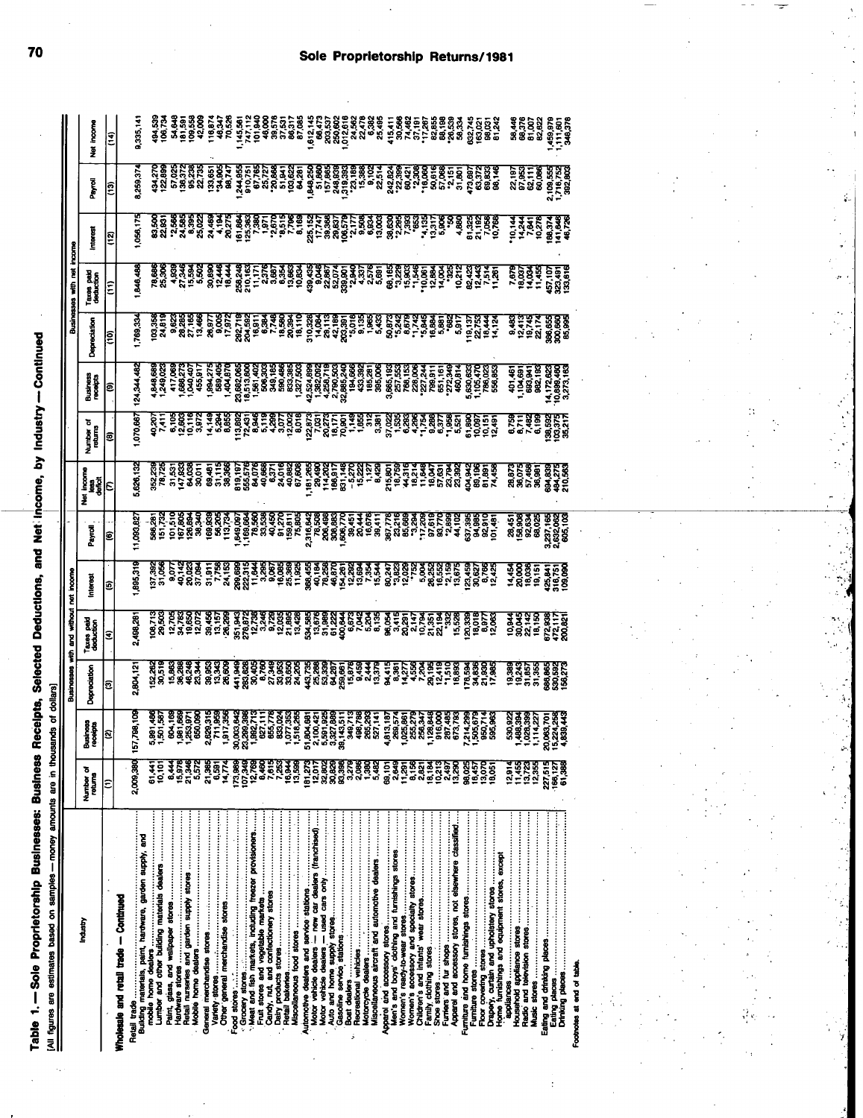| ļ<br>ļ           |           |
|------------------|-----------|
|                  |           |
|                  |           |
|                  |           |
|                  |           |
|                  |           |
|                  |           |
|                  |           |
|                  |           |
| able 1. – Sole F | <br> <br> |
|                  |           |
|                  |           |

Ÿ,

|                                                        |                                 |                      |                                                                                                                                                                                                                                     |                                  |                                                                                                                                                                                                                                     |                              |                                                                                                                                                                                                                                  |                                                                                                                                                                                                                 |                                                                                                                                                                                                                                     |              | Ĕ<br><b>Businesses with</b> |        |                                                                                                                                                                                                                                     |                                                       |
|--------------------------------------------------------|---------------------------------|----------------------|-------------------------------------------------------------------------------------------------------------------------------------------------------------------------------------------------------------------------------------|----------------------------------|-------------------------------------------------------------------------------------------------------------------------------------------------------------------------------------------------------------------------------------|------------------------------|----------------------------------------------------------------------------------------------------------------------------------------------------------------------------------------------------------------------------------|-----------------------------------------------------------------------------------------------------------------------------------------------------------------------------------------------------------------|-------------------------------------------------------------------------------------------------------------------------------------------------------------------------------------------------------------------------------------|--------------|-----------------------------|--------|-------------------------------------------------------------------------------------------------------------------------------------------------------------------------------------------------------------------------------------|-------------------------------------------------------|
| Industry                                               | Number <sub>of</sub><br>returns | Business<br>receipts | Depredation                                                                                                                                                                                                                         | Taxes paid<br>deduction          | nteres                                                                                                                                                                                                                              | Payrol                       | តិ<br>ក្នុងថ្នាំ<br>₹                                                                                                                                                                                                            | Number<br>returns                                                                                                                                                                                               | Business<br>receipts                                                                                                                                                                                                                | Depreciation | Taxes paid<br>deduction     | nteres | Payrol                                                                                                                                                                                                                              | income<br>Ž                                           |
|                                                        | ε                               |                      | ø                                                                                                                                                                                                                                   |                                  | e                                                                                                                                                                                                                                   |                              |                                                                                                                                                                                                                                  |                                                                                                                                                                                                                 |                                                                                                                                                                                                                                     |              | ε                           |        |                                                                                                                                                                                                                                     | $\overline{14}$                                       |
| Wholesale and retail trade - Continued                 |                                 |                      |                                                                                                                                                                                                                                     |                                  |                                                                                                                                                                                                                                     |                              |                                                                                                                                                                                                                                  |                                                                                                                                                                                                                 |                                                                                                                                                                                                                                     |              |                             |        |                                                                                                                                                                                                                                     |                                                       |
|                                                        | 2,009,380                       | 157                  | 804,12                                                                                                                                                                                                                              | 498,28                           | 895,319                                                                                                                                                                                                                             | ,003,82                      | 626,132                                                                                                                                                                                                                          | 070,66                                                                                                                                                                                                          |                                                                                                                                                                                                                                     |              | 846,486                     |        | 259,37                                                                                                                                                                                                                              | 1,335,14                                              |
| mobile home dealers                                    | 10,101<br>61,441                | V)                   | ីដូច និងទីនិង និងនិ និងទីនិងនិងនិង ដូនខ្លួនទីនិង និង កំនុងទីនិង និង និង និងនិង<br>និង និងទីនិង និងនិ និងទីនិងនិងនិង និងនិង និង និង និង កំនុង ទីនិង និង និង និងនិង<br>និង និងទីនិង និងនិ និងតិនិងនិងនិង និងនិង និង និង កំនុង កំនុង ត | 108,713<br>29,503                | 137,392                                                                                                                                                                                                                             |                              | ន្ត្រី ក្នុង និង មន្ត្រី ក្នុង ក្នុង ក្នុង ក្នុង ក្នុង ក្នុង ក្នុង ក្នុង ក្នុង ក្នុង ក្នុង ក្នុង ក្នុង ក្នុង ក<br>ក្នុង ក្នុង ក្នុង ក្នុង ក្នុង ក្នុង ក្នុង ក្នុង ក្នុង ក្នុង ក្នុង ក្នុង ក្នុង ក្នុង ក្នុង ក្នុង ក្នុង ក្នុង ក្ | ាង ស្ថានីង វីលូង និង ដែលស្ថាន វីប វីលូង ដែល ដែលសំណើង ដែលបាន និង ដែល<br>ប្រឹង្គ និង ដែលមាន ដែលមាន ដែលមាន ដែលមាន ដែលមាន ដែលមាន ដែលមាន ដែលមាន<br>ស្រី ដែលមាន អ្នក ដែលមាន ដែលមាន ដែលមាន ដែលមាន ដែលមាន ដែលមាន ដែលមាន | ត្តិ និងទី២ ដឹងថ្មី និងនិងនិងធ្ងន់ និងដូនដែលមាននិងធ្ងន់ និងដូចដែលមាន និងដូចដែល<br>ទី៩ = ឆ្នាំ = ឆ្នាំ = ឆ្នាំ = ឆ្នាំ = ឆ្នាំ = ឆ្នាំ = ឆ្នាំ = ឆ្នាំ = ឆ្នាំ = ឆ្នាំ = ឆ្នាំ = ឆ្នាំ = ឆ្នាំ =<br>ទី១ ឆ្នាំ = ដូចដែលមានដឹងថា = ឆ្ន |              |                             |        | ទីទី ខាដូងដូ ខិន្តិ៍ ដូចនូវក្នុង ខ្លួន ខ្លួន ខ្លួន ខ្លួន ខ្លួន ខ្លួន ខ្លួន ខ្លួន ខ្លួន ខ្លួន ខ្លួន ខ្លួន<br>2 គ្គី ខ្លួន ខ្លួន ខ្លួន ខ្លួន ខ្លួន ខ្លួន ខ្លួន ខ្លួន ខ្លួន ខ្លួន ខ្លួន ខ្លួន ខ្លួន ខ្លួន ខ្លួន ខ្លួន ខ្លួន<br>ប្រុក ខ |                                                       |
|                                                        | <b>44</b>                       |                      |                                                                                                                                                                                                                                     |                                  |                                                                                                                                                                                                                                     |                              |                                                                                                                                                                                                                                  |                                                                                                                                                                                                                 |                                                                                                                                                                                                                                     |              |                             |        |                                                                                                                                                                                                                                     |                                                       |
|                                                        | 15,97                           |                      |                                                                                                                                                                                                                                     |                                  |                                                                                                                                                                                                                                     |                              |                                                                                                                                                                                                                                  |                                                                                                                                                                                                                 |                                                                                                                                                                                                                                     |              |                             |        |                                                                                                                                                                                                                                     |                                                       |
| Retail nurseries and garden supply stores              | 21,346<br>5,57                  |                      |                                                                                                                                                                                                                                     |                                  | ្ត ទីខាន់ ដង្កូត និដ្ឋ ទីខាន់និង ក្នុងខាងខ្លែងម៉ូងូ ។ អនុក្សាធ្ងន់ ទីខាន់ ក្នុង<br>ក្នុងខាង ដង្កូត និដ្ឋ ទីខាន់និង ក្នុងខាងខ្លែងម៉ូងូងូ អនុក្សាធ្ងន់ ក្នុងភូមិដូច ក្នុង<br>ខ្លែងខ្លួន ដង្កូន និដ្ឋ ទីខាន់និង ក្នុងខ្លែងខ្លែងម៉ូងូងូ |                              |                                                                                                                                                                                                                                  |                                                                                                                                                                                                                 |                                                                                                                                                                                                                                     |              |                             |        |                                                                                                                                                                                                                                     |                                                       |
|                                                        | 21,365                          |                      |                                                                                                                                                                                                                                     |                                  |                                                                                                                                                                                                                                     |                              |                                                                                                                                                                                                                                  |                                                                                                                                                                                                                 |                                                                                                                                                                                                                                     |              |                             |        |                                                                                                                                                                                                                                     |                                                       |
|                                                        | 6.591                           |                      |                                                                                                                                                                                                                                     |                                  |                                                                                                                                                                                                                                     |                              |                                                                                                                                                                                                                                  |                                                                                                                                                                                                                 |                                                                                                                                                                                                                                     |              |                             |        |                                                                                                                                                                                                                                     |                                                       |
|                                                        | 14.774                          |                      |                                                                                                                                                                                                                                     |                                  |                                                                                                                                                                                                                                     |                              |                                                                                                                                                                                                                                  |                                                                                                                                                                                                                 |                                                                                                                                                                                                                                     |              |                             |        |                                                                                                                                                                                                                                     |                                                       |
|                                                        | 173,98<br>107,348               | ğ<br>R               |                                                                                                                                                                                                                                     |                                  |                                                                                                                                                                                                                                     |                              |                                                                                                                                                                                                                                  |                                                                                                                                                                                                                 |                                                                                                                                                                                                                                     |              |                             |        |                                                                                                                                                                                                                                     |                                                       |
| Meat and fish markets, including freezer provisioners  | 12.78                           |                      |                                                                                                                                                                                                                                     |                                  |                                                                                                                                                                                                                                     |                              |                                                                                                                                                                                                                                  |                                                                                                                                                                                                                 |                                                                                                                                                                                                                                     |              |                             |        |                                                                                                                                                                                                                                     |                                                       |
|                                                        | 84.60                           |                      |                                                                                                                                                                                                                                     |                                  |                                                                                                                                                                                                                                     |                              |                                                                                                                                                                                                                                  |                                                                                                                                                                                                                 |                                                                                                                                                                                                                                     |              |                             |        |                                                                                                                                                                                                                                     |                                                       |
|                                                        | 7.615<br>7,253                  |                      |                                                                                                                                                                                                                                     |                                  |                                                                                                                                                                                                                                     |                              |                                                                                                                                                                                                                                  |                                                                                                                                                                                                                 |                                                                                                                                                                                                                                     |              |                             |        |                                                                                                                                                                                                                                     |                                                       |
|                                                        | 16.94                           |                      |                                                                                                                                                                                                                                     |                                  |                                                                                                                                                                                                                                     |                              |                                                                                                                                                                                                                                  |                                                                                                                                                                                                                 |                                                                                                                                                                                                                                     |              |                             |        |                                                                                                                                                                                                                                     |                                                       |
|                                                        | 13,590                          |                      |                                                                                                                                                                                                                                     |                                  |                                                                                                                                                                                                                                     |                              |                                                                                                                                                                                                                                  |                                                                                                                                                                                                                 |                                                                                                                                                                                                                                     |              |                             |        |                                                                                                                                                                                                                                     |                                                       |
| Motor vehicle dealers - new car dealers (franchised)   | 12.01<br>181.27                 | 8<br>$\frac{8}{5}$   |                                                                                                                                                                                                                                     |                                  |                                                                                                                                                                                                                                     |                              |                                                                                                                                                                                                                                  |                                                                                                                                                                                                                 |                                                                                                                                                                                                                                     |              |                             |        |                                                                                                                                                                                                                                     |                                                       |
|                                                        | 32,802                          | ရက် ရှိ<br>လက် ရှိ   |                                                                                                                                                                                                                                     |                                  |                                                                                                                                                                                                                                     |                              |                                                                                                                                                                                                                                  |                                                                                                                                                                                                                 |                                                                                                                                                                                                                                     |              |                             |        |                                                                                                                                                                                                                                     |                                                       |
|                                                        | 30,829                          | <u>ទីខ្</u>          |                                                                                                                                                                                                                                     |                                  |                                                                                                                                                                                                                                     |                              |                                                                                                                                                                                                                                  |                                                                                                                                                                                                                 |                                                                                                                                                                                                                                     |              |                             |        |                                                                                                                                                                                                                                     |                                                       |
|                                                        | 83,398<br>$\tilde{2}$           |                      |                                                                                                                                                                                                                                     |                                  |                                                                                                                                                                                                                                     |                              |                                                                                                                                                                                                                                  |                                                                                                                                                                                                                 |                                                                                                                                                                                                                                     |              |                             |        |                                                                                                                                                                                                                                     |                                                       |
|                                                        | 2,086                           |                      |                                                                                                                                                                                                                                     |                                  |                                                                                                                                                                                                                                     |                              |                                                                                                                                                                                                                                  |                                                                                                                                                                                                                 |                                                                                                                                                                                                                                     |              |                             |        |                                                                                                                                                                                                                                     |                                                       |
|                                                        | ž                               |                      |                                                                                                                                                                                                                                     |                                  |                                                                                                                                                                                                                                     |                              |                                                                                                                                                                                                                                  |                                                                                                                                                                                                                 |                                                                                                                                                                                                                                     |              |                             |        |                                                                                                                                                                                                                                     |                                                       |
| Miscellaneous aircraft and automotive dealers          | 5,482                           |                      |                                                                                                                                                                                                                                     |                                  |                                                                                                                                                                                                                                     |                              |                                                                                                                                                                                                                                  |                                                                                                                                                                                                                 |                                                                                                                                                                                                                                     |              |                             |        |                                                                                                                                                                                                                                     |                                                       |
| Men's and boys' clothing and furnishings stores        | 2,649<br>69,101                 |                      |                                                                                                                                                                                                                                     |                                  |                                                                                                                                                                                                                                     |                              |                                                                                                                                                                                                                                  |                                                                                                                                                                                                                 |                                                                                                                                                                                                                                     |              |                             |        |                                                                                                                                                                                                                                     |                                                       |
|                                                        | 11,291                          |                      |                                                                                                                                                                                                                                     |                                  |                                                                                                                                                                                                                                     |                              |                                                                                                                                                                                                                                  |                                                                                                                                                                                                                 |                                                                                                                                                                                                                                     |              |                             |        |                                                                                                                                                                                                                                     |                                                       |
|                                                        | និង<br>កំនុង                    |                      |                                                                                                                                                                                                                                     |                                  |                                                                                                                                                                                                                                     |                              |                                                                                                                                                                                                                                  |                                                                                                                                                                                                                 |                                                                                                                                                                                                                                     |              |                             |        |                                                                                                                                                                                                                                     |                                                       |
|                                                        | 18,184                          |                      |                                                                                                                                                                                                                                     |                                  |                                                                                                                                                                                                                                     |                              |                                                                                                                                                                                                                                  |                                                                                                                                                                                                                 |                                                                                                                                                                                                                                     |              |                             |        |                                                                                                                                                                                                                                     |                                                       |
|                                                        | $\frac{5}{2}$                   |                      |                                                                                                                                                                                                                                     |                                  |                                                                                                                                                                                                                                     |                              |                                                                                                                                                                                                                                  |                                                                                                                                                                                                                 |                                                                                                                                                                                                                                     |              |                             |        |                                                                                                                                                                                                                                     |                                                       |
| Apparel and accessory stores, not elsewhere classified | 13,290<br>2,49                  |                      |                                                                                                                                                                                                                                     |                                  |                                                                                                                                                                                                                                     |                              |                                                                                                                                                                                                                                  |                                                                                                                                                                                                                 |                                                                                                                                                                                                                                     |              |                             |        |                                                                                                                                                                                                                                     |                                                       |
|                                                        | 98,02                           |                      |                                                                                                                                                                                                                                     |                                  |                                                                                                                                                                                                                                     |                              |                                                                                                                                                                                                                                  |                                                                                                                                                                                                                 |                                                                                                                                                                                                                                     |              |                             |        |                                                                                                                                                                                                                                     |                                                       |
|                                                        | 16,457                          |                      |                                                                                                                                                                                                                                     |                                  |                                                                                                                                                                                                                                     |                              |                                                                                                                                                                                                                                  |                                                                                                                                                                                                                 |                                                                                                                                                                                                                                     |              |                             |        |                                                                                                                                                                                                                                     |                                                       |
|                                                        | 13,070                          |                      |                                                                                                                                                                                                                                     |                                  |                                                                                                                                                                                                                                     |                              |                                                                                                                                                                                                                                  |                                                                                                                                                                                                                 |                                                                                                                                                                                                                                     |              |                             |        |                                                                                                                                                                                                                                     |                                                       |
| Home furnishings and equipment stores, except          | 18.051                          |                      |                                                                                                                                                                                                                                     |                                  |                                                                                                                                                                                                                                     |                              |                                                                                                                                                                                                                                  |                                                                                                                                                                                                                 |                                                                                                                                                                                                                                     |              |                             |        |                                                                                                                                                                                                                                     |                                                       |
|                                                        | 12,91.                          |                      |                                                                                                                                                                                                                                     |                                  |                                                                                                                                                                                                                                     |                              |                                                                                                                                                                                                                                  |                                                                                                                                                                                                                 |                                                                                                                                                                                                                                     |              |                             |        |                                                                                                                                                                                                                                     |                                                       |
|                                                        | やここ                             |                      |                                                                                                                                                                                                                                     |                                  |                                                                                                                                                                                                                                     |                              |                                                                                                                                                                                                                                  |                                                                                                                                                                                                                 |                                                                                                                                                                                                                                     |              |                             |        |                                                                                                                                                                                                                                     |                                                       |
|                                                        | 13.72<br>12,355                 |                      | ត្តន្តធ្នូ<br>ទីទី១៩                                                                                                                                                                                                                | 028345<br>028355888<br>028355888 | <b>48885</b><br>48885                                                                                                                                                                                                               | 158388<br>188388<br>18886588 | ទី១៩១<br>ខែមុន<br>ខែមុន                                                                                                                                                                                                          | 0.759<br>0.71 0.88<br>0.88582<br>0.88582<br>0.8852                                                                                                                                                              | <b>1682</b><br>1683 1683<br>1683 1683<br>1683 1684                                                                                                                                                                                  |              |                             |        | ទីក្ដី ដូច្នេះ<br>មានក្ដី ដូច្នេះ                                                                                                                                                                                                   | អ្នកខ្លួង<br>មាន មាន មិន មិន<br>អ្នកខ្លួង មិន មិន មិន |
|                                                        | 227,515                         | š                    |                                                                                                                                                                                                                                     |                                  |                                                                                                                                                                                                                                     |                              |                                                                                                                                                                                                                                  |                                                                                                                                                                                                                 |                                                                                                                                                                                                                                     |              |                             |        |                                                                                                                                                                                                                                     |                                                       |
|                                                        | 168,12                          | $\frac{3}{2}$        | 886,865<br>530,592<br>156,273                                                                                                                                                                                                       |                                  | 125,841<br>116,751<br>109,09                                                                                                                                                                                                        |                              | 894,835<br>494,271<br>210,563                                                                                                                                                                                                    |                                                                                                                                                                                                                 |                                                                                                                                                                                                                                     |              |                             |        |                                                                                                                                                                                                                                     |                                                       |
|                                                        | 61,388                          | ₹                    |                                                                                                                                                                                                                                     |                                  |                                                                                                                                                                                                                                     |                              |                                                                                                                                                                                                                                  |                                                                                                                                                                                                                 |                                                                                                                                                                                                                                     |              |                             |        |                                                                                                                                                                                                                                     |                                                       |
| Footnotes at end of table                              |                                 |                      |                                                                                                                                                                                                                                     |                                  |                                                                                                                                                                                                                                     |                              |                                                                                                                                                                                                                                  |                                                                                                                                                                                                                 |                                                                                                                                                                                                                                     |              |                             |        |                                                                                                                                                                                                                                     |                                                       |

į.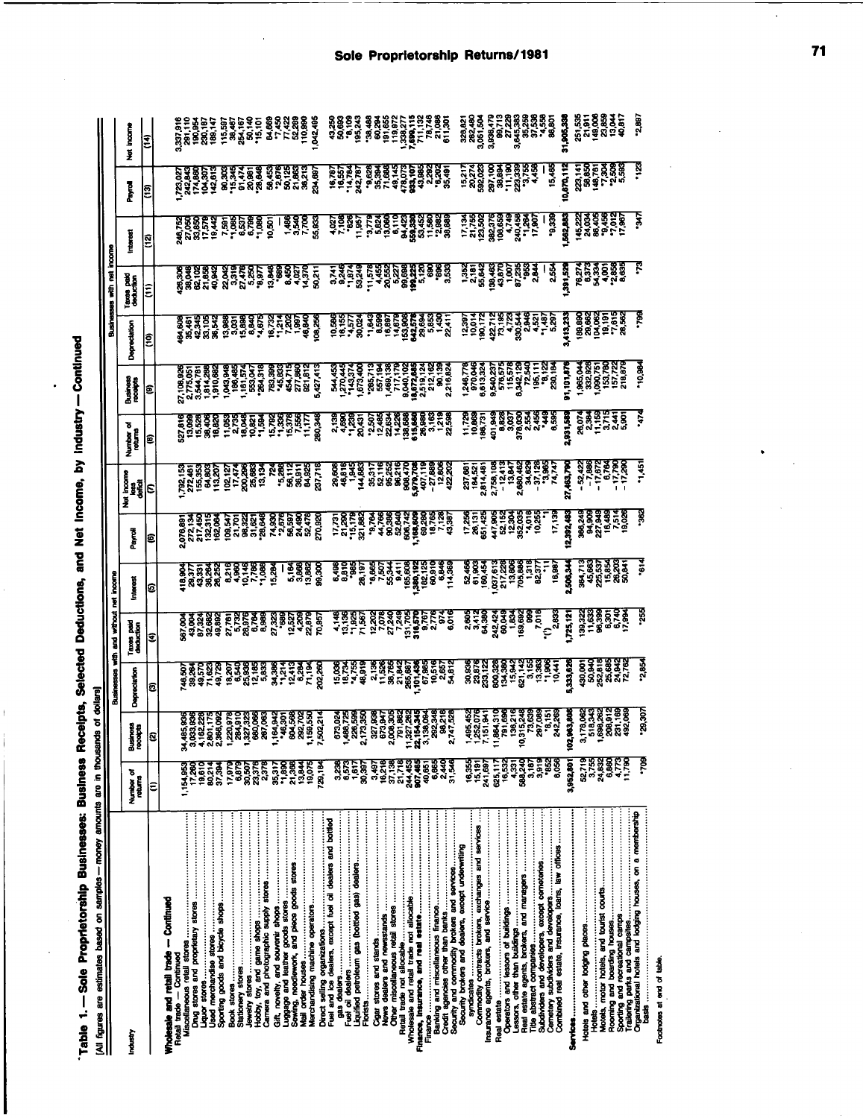| <b>The Buckerges Business Baceions Sciented Baductions and Met Income. by Industry—Continual</b> |                                                           |
|--------------------------------------------------------------------------------------------------|-----------------------------------------------------------|
|                                                                                                  |                                                           |
|                                                                                                  | $\frac{1}{2}$<br>ha ann in the month                      |
| Ī<br>Table 1. - Sole Propriet                                                                    | lati forme are estimates hased on semples - money amounts |
|                                                                                                  |                                                           |

| consumers and samful my                                   |                        |                                        |                                                                                           |                                                                                                          |               |                                                                                                                                                                                                                                        |                                                                                           |                                                                                                                                                                                     |                                                                                                                                                                                        |              | Ë<br>Businesses with    |                                                                                                                                                                                                                                  |           |                                                                                                                                         |
|-----------------------------------------------------------|------------------------|----------------------------------------|-------------------------------------------------------------------------------------------|----------------------------------------------------------------------------------------------------------|---------------|----------------------------------------------------------------------------------------------------------------------------------------------------------------------------------------------------------------------------------------|-------------------------------------------------------------------------------------------|-------------------------------------------------------------------------------------------------------------------------------------------------------------------------------------|----------------------------------------------------------------------------------------------------------------------------------------------------------------------------------------|--------------|-------------------------|----------------------------------------------------------------------------------------------------------------------------------------------------------------------------------------------------------------------------------|-----------|-----------------------------------------------------------------------------------------------------------------------------------------|
| Industry                                                  | ъ<br>Number o          | siness<br>Coipts<br>32                 | Depreciation<br>Businesses                                                                | Taxes pair<br>deduction<br>g<br>ş                                                                        | Į<br>Interest | 7<br>Peys                                                                                                                                                                                                                              | $\begin{array}{c}\n\hline\n\text{isom}\n\\ \text{isom}\n\\ \text{isom}\n\end{array}$<br>ž | ह<br>Number<br>1883<br>1983                                                                                                                                                         | Business<br>receipts                                                                                                                                                                   | Depreciation | Taxes paid<br>deduction | Interes                                                                                                                                                                                                                          | e<br>Fili | incom<br>ž                                                                                                                              |
|                                                           | ε                      | Ñ.                                     | Ξ                                                                                         |                                                                                                          | E             | l©                                                                                                                                                                                                                                     | ε                                                                                         |                                                                                                                                                                                     |                                                                                                                                                                                        |              |                         |                                                                                                                                                                                                                                  |           |                                                                                                                                         |
| Wholesale and retail trade - Continued                    |                        |                                        |                                                                                           |                                                                                                          |               |                                                                                                                                                                                                                                        |                                                                                           |                                                                                                                                                                                     |                                                                                                                                                                                        |              |                         |                                                                                                                                                                                                                                  |           |                                                                                                                                         |
| Retail trade - Continued                                  | 1.154,953              |                                        |                                                                                           |                                                                                                          |               |                                                                                                                                                                                                                                        |                                                                                           |                                                                                                                                                                                     |                                                                                                                                                                                        |              |                         | និ៍ខ្ទុចខ្ទុំ និងមិនទីទី២ និងមិន ខ្ទុំ ខ្ទុំ ខ្ទុំ ខ្ទុំ ខ្ទុំ ខ្ទុំ ខ្ទុំ ខ្ទុំ ខ្ទុំ ខ្ទុំ ខ្ទុំ ខ្ទុំ ខ្ទុំ<br>អ្វី ខ្ទុំ ខ្ទុំ ខ្ទុំ ខ្ទុំ ខ្ទុំ ខ្ទុំ ខ្ទុំ ខ្ទុំ ខ្ទុំ ខ្ទុំ ខ្ទុំ ខ្ទុំ ខ្ទុំ ខ្ទុំ ខ្ទុំ ខ្ទុំ ខ្ទុំ ខ្ទ |           | s<br>Santa Santa Santa California<br>Santa Santa Santa California<br>Santa Santa Santa California<br>Santa Santa Santa Santa California |
|                                                           | 17,280                 |                                        |                                                                                           |                                                                                                          |               |                                                                                                                                                                                                                                        |                                                                                           |                                                                                                                                                                                     |                                                                                                                                                                                        |              |                         |                                                                                                                                                                                                                                  |           |                                                                                                                                         |
|                                                           | टन<br>अंदू<br>१९       |                                        |                                                                                           |                                                                                                          |               |                                                                                                                                                                                                                                        |                                                                                           |                                                                                                                                                                                     |                                                                                                                                                                                        |              |                         |                                                                                                                                                                                                                                  |           |                                                                                                                                         |
|                                                           | 37,394                 | 366,092                                |                                                                                           |                                                                                                          |               |                                                                                                                                                                                                                                        |                                                                                           |                                                                                                                                                                                     |                                                                                                                                                                                        |              |                         |                                                                                                                                                                                                                                  |           |                                                                                                                                         |
|                                                           |                        |                                        |                                                                                           |                                                                                                          |               |                                                                                                                                                                                                                                        |                                                                                           |                                                                                                                                                                                     |                                                                                                                                                                                        |              |                         |                                                                                                                                                                                                                                  |           |                                                                                                                                         |
|                                                           | 17.979<br>6.879        |                                        |                                                                                           |                                                                                                          |               |                                                                                                                                                                                                                                        |                                                                                           |                                                                                                                                                                                     |                                                                                                                                                                                        |              |                         |                                                                                                                                                                                                                                  |           |                                                                                                                                         |
|                                                           |                        |                                        |                                                                                           |                                                                                                          |               |                                                                                                                                                                                                                                        |                                                                                           |                                                                                                                                                                                     |                                                                                                                                                                                        |              |                         |                                                                                                                                                                                                                                  |           |                                                                                                                                         |
|                                                           | 30,507<br>23,376       | ន្ត្រីឆ្គន្ធន៍                         | a ser a se ses ser regiones.<br>Ser a se ser a ser regiones<br>Ser a ser a ser a ser a se | ទីទីទីធ្ងន់ ខ័ដ្ដដឹងនិង<br>ទីទីទីធ្ងន់ ខ័ដ្ដដឹងនិងនិងទីទីខ្លួន<br>ទី១១និង ខ្ញុំ ខ្ញុំដឹងនិងនិងនិងទីខ្ញុំ |               |                                                                                                                                                                                                                                        |                                                                                           |                                                                                                                                                                                     |                                                                                                                                                                                        |              |                         |                                                                                                                                                                                                                                  |           |                                                                                                                                         |
|                                                           | 2,378                  |                                        |                                                                                           |                                                                                                          |               |                                                                                                                                                                                                                                        |                                                                                           |                                                                                                                                                                                     |                                                                                                                                                                                        |              |                         |                                                                                                                                                                                                                                  |           |                                                                                                                                         |
|                                                           | 35,317                 | 39389                                  |                                                                                           |                                                                                                          |               |                                                                                                                                                                                                                                        |                                                                                           |                                                                                                                                                                                     |                                                                                                                                                                                        |              |                         |                                                                                                                                                                                                                                  |           |                                                                                                                                         |
|                                                           | 21,368<br>.1,890       |                                        |                                                                                           |                                                                                                          |               |                                                                                                                                                                                                                                        |                                                                                           |                                                                                                                                                                                     |                                                                                                                                                                                        |              |                         |                                                                                                                                                                                                                                  |           |                                                                                                                                         |
|                                                           | 13,84                  |                                        |                                                                                           |                                                                                                          |               |                                                                                                                                                                                                                                        |                                                                                           |                                                                                                                                                                                     |                                                                                                                                                                                        |              |                         |                                                                                                                                                                                                                                  |           |                                                                                                                                         |
|                                                           | 19,075                 |                                        |                                                                                           |                                                                                                          |               |                                                                                                                                                                                                                                        |                                                                                           |                                                                                                                                                                                     |                                                                                                                                                                                        |              |                         |                                                                                                                                                                                                                                  |           |                                                                                                                                         |
|                                                           | 729,184                |                                        |                                                                                           |                                                                                                          |               |                                                                                                                                                                                                                                        |                                                                                           |                                                                                                                                                                                     |                                                                                                                                                                                        |              |                         |                                                                                                                                                                                                                                  |           |                                                                                                                                         |
| Fuel and ice dealers, except fuel oil dealers and bottled |                        |                                        |                                                                                           |                                                                                                          |               |                                                                                                                                                                                                                                        |                                                                                           |                                                                                                                                                                                     |                                                                                                                                                                                        |              |                         |                                                                                                                                                                                                                                  |           |                                                                                                                                         |
|                                                           | 3238<br>6,573          | 673,024<br>488,728                     |                                                                                           |                                                                                                          |               |                                                                                                                                                                                                                                        |                                                                                           |                                                                                                                                                                                     |                                                                                                                                                                                        |              |                         |                                                                                                                                                                                                                                  |           |                                                                                                                                         |
|                                                           | $\frac{1}{2}$          |                                        |                                                                                           |                                                                                                          |               |                                                                                                                                                                                                                                        |                                                                                           |                                                                                                                                                                                     |                                                                                                                                                                                        |              |                         |                                                                                                                                                                                                                                  |           |                                                                                                                                         |
| Liquified petroleum gas (bottled gas) dealers             | 30,397                 |                                        |                                                                                           |                                                                                                          |               |                                                                                                                                                                                                                                        |                                                                                           |                                                                                                                                                                                     |                                                                                                                                                                                        |              |                         |                                                                                                                                                                                                                                  |           |                                                                                                                                         |
|                                                           | 3.497                  |                                        |                                                                                           |                                                                                                          |               |                                                                                                                                                                                                                                        |                                                                                           |                                                                                                                                                                                     |                                                                                                                                                                                        |              |                         |                                                                                                                                                                                                                                  |           |                                                                                                                                         |
|                                                           | 16,218                 |                                        |                                                                                           |                                                                                                          |               |                                                                                                                                                                                                                                        |                                                                                           |                                                                                                                                                                                     |                                                                                                                                                                                        |              |                         |                                                                                                                                                                                                                                  |           |                                                                                                                                         |
|                                                           | ब्रह्<br>इ.स           |                                        |                                                                                           |                                                                                                          |               |                                                                                                                                                                                                                                        |                                                                                           |                                                                                                                                                                                     |                                                                                                                                                                                        |              |                         |                                                                                                                                                                                                                                  |           |                                                                                                                                         |
|                                                           |                        |                                        |                                                                                           |                                                                                                          |               |                                                                                                                                                                                                                                        |                                                                                           |                                                                                                                                                                                     |                                                                                                                                                                                        |              |                         |                                                                                                                                                                                                                                  |           |                                                                                                                                         |
|                                                           | 244,455<br>907,465     |                                        |                                                                                           |                                                                                                          |               |                                                                                                                                                                                                                                        |                                                                                           |                                                                                                                                                                                     |                                                                                                                                                                                        |              |                         |                                                                                                                                                                                                                                  |           |                                                                                                                                         |
|                                                           | 40.851                 |                                        |                                                                                           |                                                                                                          |               |                                                                                                                                                                                                                                        |                                                                                           |                                                                                                                                                                                     |                                                                                                                                                                                        |              |                         |                                                                                                                                                                                                                                  |           |                                                                                                                                         |
|                                                           | 6,865                  |                                        |                                                                                           |                                                                                                          |               |                                                                                                                                                                                                                                        |                                                                                           |                                                                                                                                                                                     |                                                                                                                                                                                        |              |                         |                                                                                                                                                                                                                                  |           |                                                                                                                                         |
|                                                           | 유유<br>21,546<br>31,546 |                                        |                                                                                           |                                                                                                          |               |                                                                                                                                                                                                                                        |                                                                                           |                                                                                                                                                                                     |                                                                                                                                                                                        |              |                         |                                                                                                                                                                                                                                  |           |                                                                                                                                         |
|                                                           |                        |                                        |                                                                                           |                                                                                                          |               |                                                                                                                                                                                                                                        |                                                                                           |                                                                                                                                                                                     |                                                                                                                                                                                        |              |                         |                                                                                                                                                                                                                                  |           |                                                                                                                                         |
| Security brakers and dealers, except underwriting         | 16,355                 |                                        |                                                                                           |                                                                                                          |               |                                                                                                                                                                                                                                        |                                                                                           |                                                                                                                                                                                     |                                                                                                                                                                                        |              |                         |                                                                                                                                                                                                                                  |           |                                                                                                                                         |
| Commodity contracts brokers, exchanges and services       | 15,191                 |                                        |                                                                                           |                                                                                                          |               |                                                                                                                                                                                                                                        |                                                                                           |                                                                                                                                                                                     |                                                                                                                                                                                        |              |                         |                                                                                                                                                                                                                                  |           |                                                                                                                                         |
|                                                           | 241,697                | ឆ្ន                                    |                                                                                           |                                                                                                          |               |                                                                                                                                                                                                                                        |                                                                                           |                                                                                                                                                                                     |                                                                                                                                                                                        |              |                         |                                                                                                                                                                                                                                  |           |                                                                                                                                         |
|                                                           | 625,117                | <b>B64,310</b>                         |                                                                                           |                                                                                                          |               |                                                                                                                                                                                                                                        |                                                                                           |                                                                                                                                                                                     |                                                                                                                                                                                        |              |                         |                                                                                                                                                                                                                                  |           |                                                                                                                                         |
|                                                           | 16,532                 |                                        |                                                                                           |                                                                                                          |               |                                                                                                                                                                                                                                        |                                                                                           |                                                                                                                                                                                     |                                                                                                                                                                                        |              |                         |                                                                                                                                                                                                                                  |           |                                                                                                                                         |
|                                                           | 588,240<br>4,331       |                                        |                                                                                           |                                                                                                          |               |                                                                                                                                                                                                                                        |                                                                                           |                                                                                                                                                                                     |                                                                                                                                                                                        |              |                         |                                                                                                                                                                                                                                  |           |                                                                                                                                         |
|                                                           | 3,187                  |                                        |                                                                                           |                                                                                                          |               |                                                                                                                                                                                                                                        |                                                                                           |                                                                                                                                                                                     |                                                                                                                                                                                        |              |                         |                                                                                                                                                                                                                                  |           |                                                                                                                                         |
|                                                           | 3,919                  |                                        |                                                                                           |                                                                                                          |               |                                                                                                                                                                                                                                        |                                                                                           |                                                                                                                                                                                     |                                                                                                                                                                                        |              |                         |                                                                                                                                                                                                                                  |           |                                                                                                                                         |
|                                                           | <b>.852</b><br>8,056   |                                        |                                                                                           |                                                                                                          |               | <b>SUBER 2016 - 1920 - 1930 - 1930 - 1930 - 1930 - 1930 - 1930 - 1930 - 1930 - 1930 - 1930 - 1930 - 1930 - 1930 -</b><br>PRESSENCE - 1930 - 1930 - 1930 - 1930 - 1930 - 1930 - 1930 - 1930 - 1930 - 1930 - 1930 - 1930 - 1930 - 1930 - |                                                                                           | genese rastra senere si senere senere senere senere senere senere.<br>Esessa sestas senere si senere senere senere senere senere senere senere senere senere senere senere senere s | <b>A SER E PRESENTAR E PRESENTE DE LA PRESENTA<br/>Presentar de la presenta de la presenta<br/>Presentar de la presenta de la presenta<br/>Presentar de la presenta de la presenta</b> |              |                         |                                                                                                                                                                                                                                  |           | ទីទីទី ដីដីដីអ្នកពីអ្នកទីទី អ្នកទី១៩ គឺ<br>ប្តីអ្នកទី មី អ្នកទី១ គឺ អ្នកទី១ គឺ អ្នកទី១ គឺ<br>ត្រូវបាន អ្នកទី១ គឺ អ្នកទី១ គឺ             |
| Combined real estate, insurance, loans, law offices       |                        |                                        |                                                                                           |                                                                                                          |               |                                                                                                                                                                                                                                        |                                                                                           |                                                                                                                                                                                     |                                                                                                                                                                                        |              |                         |                                                                                                                                                                                                                                  |           |                                                                                                                                         |
|                                                           | 3,952,801              | ,963,800<br>ë                          |                                                                                           |                                                                                                          |               |                                                                                                                                                                                                                                        |                                                                                           |                                                                                                                                                                                     |                                                                                                                                                                                        |              |                         |                                                                                                                                                                                                                                  |           |                                                                                                                                         |
|                                                           | 52,719                 | <b>0838225</b><br>Fragasta<br>Fragasta |                                                                                           |                                                                                                          |               |                                                                                                                                                                                                                                        |                                                                                           |                                                                                                                                                                                     |                                                                                                                                                                                        |              |                         |                                                                                                                                                                                                                                  |           |                                                                                                                                         |
| <b>Hotels</b> …………………………………………………………………                   | 3.755                  |                                        |                                                                                           |                                                                                                          |               |                                                                                                                                                                                                                                        |                                                                                           |                                                                                                                                                                                     |                                                                                                                                                                                        |              |                         |                                                                                                                                                                                                                                  |           |                                                                                                                                         |
|                                                           | 24,832                 |                                        |                                                                                           |                                                                                                          |               |                                                                                                                                                                                                                                        |                                                                                           |                                                                                                                                                                                     |                                                                                                                                                                                        |              |                         |                                                                                                                                                                                                                                  |           |                                                                                                                                         |
|                                                           | <b>EJ17</b><br>889     |                                        |                                                                                           |                                                                                                          |               |                                                                                                                                                                                                                                        |                                                                                           |                                                                                                                                                                                     |                                                                                                                                                                                        |              |                         |                                                                                                                                                                                                                                  |           |                                                                                                                                         |
|                                                           | 11,780                 |                                        |                                                                                           |                                                                                                          |               |                                                                                                                                                                                                                                        |                                                                                           |                                                                                                                                                                                     |                                                                                                                                                                                        |              |                         |                                                                                                                                                                                                                                  |           |                                                                                                                                         |
| Organizational hotels and lodging houses, on a membership |                        |                                        |                                                                                           |                                                                                                          |               |                                                                                                                                                                                                                                        |                                                                                           |                                                                                                                                                                                     |                                                                                                                                                                                        |              |                         |                                                                                                                                                                                                                                  |           |                                                                                                                                         |
| <b>basis</b> …………………………………………………………………                    | eor.                   | '29,307                                | <b>2.85</b>                                                                               |                                                                                                          |               |                                                                                                                                                                                                                                        |                                                                                           |                                                                                                                                                                                     |                                                                                                                                                                                        |              |                         |                                                                                                                                                                                                                                  |           |                                                                                                                                         |

Footnotes at end of table.

 $\hat{\mathcal{A}}$